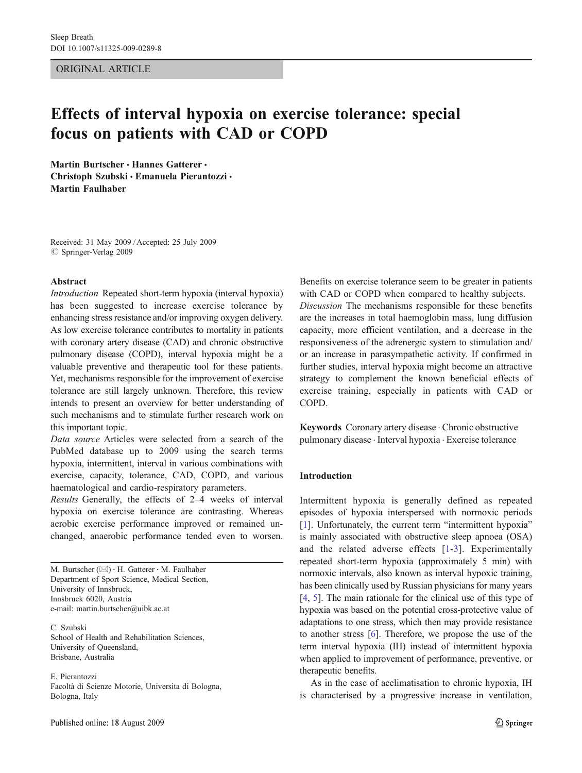ORIGINAL ARTICLE

# Effects of interval hypoxia on exercise tolerance: special focus on patients with CAD or COPD

Martin Burtscher · Hannes Gatterer · Christoph Szubski · Emanuela Pierantozzi · Martin Faulhaber

Received: 31 May 2009 /Accepted: 25 July 2009  $\circ$  Springer-Verlag 2009

## Abstract

Introduction Repeated short-term hypoxia (interval hypoxia) has been suggested to increase exercise tolerance by enhancing stress resistance and/or improving oxygen delivery. As low exercise tolerance contributes to mortality in patients with coronary artery disease (CAD) and chronic obstructive pulmonary disease (COPD), interval hypoxia might be a valuable preventive and therapeutic tool for these patients. Yet, mechanisms responsible for the improvement of exercise tolerance are still largely unknown. Therefore, this review intends to present an overview for better understanding of such mechanisms and to stimulate further research work on this important topic.

Data source Articles were selected from a search of the PubMed database up to 2009 using the search terms hypoxia, intermittent, interval in various combinations with exercise, capacity, tolerance, CAD, COPD, and various haematological and cardio-respiratory parameters.

Results Generally, the effects of 2–4 weeks of interval hypoxia on exercise tolerance are contrasting. Whereas aerobic exercise performance improved or remained unchanged, anaerobic performance tended even to worsen.

M. Burtscher (*\**) : H. Gatterer : M. Faulhaber Department of Sport Science, Medical Section, University of Innsbruck, Innsbruck 6020, Austria e-mail: martin.burtscher@uibk.ac.at

C. Szubski School of Health and Rehabilitation Sciences, University of Queensland, Brisbane, Australia

E. Pierantozzi Facoltà di Scienze Motorie, Universita di Bologna, Bologna, Italy

Benefits on exercise tolerance seem to be greater in patients with CAD or COPD when compared to healthy subjects. Discussion The mechanisms responsible for these benefits are the increases in total haemoglobin mass, lung diffusion capacity, more efficient ventilation, and a decrease in the responsiveness of the adrenergic system to stimulation and/ or an increase in parasympathetic activity. If confirmed in further studies, interval hypoxia might become an attractive strategy to complement the known beneficial effects of exercise training, especially in patients with CAD or COPD.

Keywords Coronary artery disease . Chronic obstructive pulmonary disease . Interval hypoxia . Exercise tolerance

#### Introduction

Intermittent hypoxia is generally defined as repeated episodes of hypoxia interspersed with normoxic periods [\[1](#page-9-0)]. Unfortunately, the current term "intermittent hypoxia" is mainly associated with obstructive sleep apnoea (OSA) and the related adverse effects [[1-3\]](#page-9-0). Experimentally repeated short-term hypoxia (approximately 5 min) with normoxic intervals, also known as interval hypoxic training, has been clinically used by Russian physicians for many years [[4,](#page-9-0) [5](#page-9-0)]. The main rationale for the clinical use of this type of hypoxia was based on the potential cross-protective value of adaptations to one stress, which then may provide resistance to another stress [[6](#page-9-0)]. Therefore, we propose the use of the term interval hypoxia (IH) instead of intermittent hypoxia when applied to improvement of performance, preventive, or therapeutic benefits.

As in the case of acclimatisation to chronic hypoxia, IH is characterised by a progressive increase in ventilation,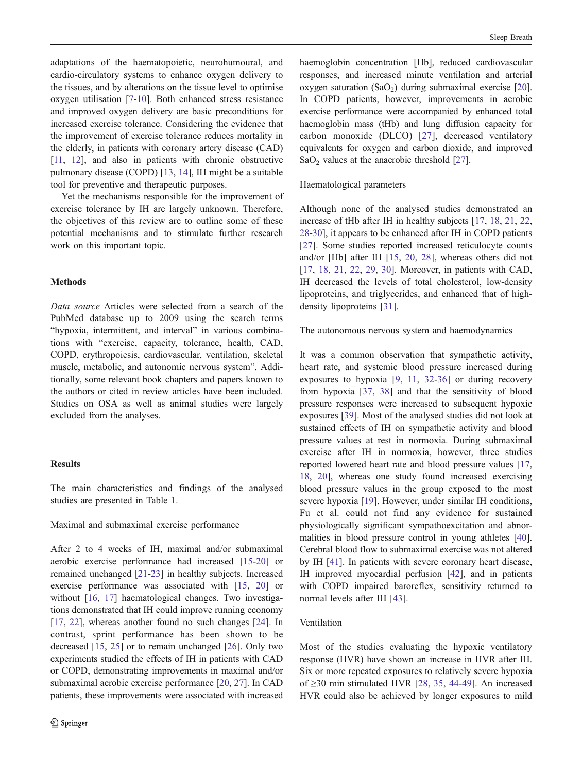adaptations of the haematopoietic, neurohumoural, and cardio-circulatory systems to enhance oxygen delivery to the tissues, and by alterations on the tissue level to optimise oxygen utilisation [[7-10](#page-9-0)]. Both enhanced stress resistance and improved oxygen delivery are basic preconditions for increased exercise tolerance. Considering the evidence that the improvement of exercise tolerance reduces mortality in the elderly, in patients with coronary artery disease (CAD) [[11,](#page-9-0) [12\]](#page-9-0), and also in patients with chronic obstructive pulmonary disease (COPD) [\[13](#page-9-0), [14\]](#page-9-0), IH might be a suitable tool for preventive and therapeutic purposes.

Yet the mechanisms responsible for the improvement of exercise tolerance by IH are largely unknown. Therefore, the objectives of this review are to outline some of these potential mechanisms and to stimulate further research work on this important topic.

## **Methods**

Data source Articles were selected from a search of the PubMed database up to 2009 using the search terms "hypoxia, intermittent, and interval" in various combinations with "exercise, capacity, tolerance, health, CAD, COPD, erythropoiesis, cardiovascular, ventilation, skeletal muscle, metabolic, and autonomic nervous system". Additionally, some relevant book chapters and papers known to the authors or cited in review articles have been included. Studies on OSA as well as animal studies were largely excluded from the analyses.

## **Results**

The main characteristics and findings of the analysed studies are presented in Table [1.](#page-2-0)

Maximal and submaximal exercise performance

After 2 to 4 weeks of IH, maximal and/or submaximal aerobic exercise performance had increased [[15-20](#page-9-0)] or remained unchanged [\[21-23](#page-9-0)] in healthy subjects. Increased exercise performance was associated with [\[15](#page-9-0), [20\]](#page-9-0) or without [[16,](#page-9-0) [17\]](#page-9-0) haematological changes. Two investigations demonstrated that IH could improve running economy [[17,](#page-9-0) [22](#page-9-0)], whereas another found no such changes [\[24](#page-9-0)]. In contrast, sprint performance has been shown to be decreased [\[15](#page-9-0), [25\]](#page-9-0) or to remain unchanged [[26\]](#page-9-0). Only two experiments studied the effects of IH in patients with CAD or COPD, demonstrating improvements in maximal and/or submaximal aerobic exercise performance [[20,](#page-9-0) [27\]](#page-9-0). In CAD patients, these improvements were associated with increased

haemoglobin concentration [Hb], reduced cardiovascular responses, and increased minute ventilation and arterial oxygen saturation  $(SaO<sub>2</sub>)$  during submaximal exercise [\[20](#page-9-0)]. In COPD patients, however, improvements in aerobic exercise performance were accompanied by enhanced total haemoglobin mass (tHb) and lung diffusion capacity for carbon monoxide (DLCO) [[27](#page-9-0)], decreased ventilatory equivalents for oxygen and carbon dioxide, and improved SaO<sub>2</sub> values at the anaerobic threshold  $[27]$  $[27]$ .

#### Haematological parameters

Although none of the analysed studies demonstrated an increase of tHb after IH in healthy subjects [\[17](#page-9-0), [18,](#page-9-0) [21,](#page-9-0) [22](#page-9-0), [28-30\]](#page-10-0), it appears to be enhanced after IH in COPD patients [\[27](#page-9-0)]. Some studies reported increased reticulocyte counts and/or [Hb] after IH [\[15](#page-9-0), [20,](#page-9-0) [28](#page-10-0)], whereas others did not [[17](#page-9-0), [18](#page-9-0), [21](#page-9-0), [22](#page-9-0), [29](#page-10-0), [30](#page-10-0)]. Moreover, in patients with CAD, IH decreased the levels of total cholesterol, low-density lipoproteins, and triglycerides, and enhanced that of highdensity lipoproteins [\[31](#page-10-0)].

The autonomous nervous system and haemodynamics

It was a common observation that sympathetic activity, heart rate, and systemic blood pressure increased during exposures to hypoxia [[9,](#page-9-0) [11,](#page-9-0) [32-36\]](#page-10-0) or during recovery from hypoxia [\[37](#page-10-0), [38\]](#page-10-0) and that the sensitivity of blood pressure responses were increased to subsequent hypoxic exposures [\[39](#page-10-0)]. Most of the analysed studies did not look at sustained effects of IH on sympathetic activity and blood pressure values at rest in normoxia. During submaximal exercise after IH in normoxia, however, three studies reported lowered heart rate and blood pressure values [\[17](#page-9-0), [18,](#page-9-0) [20](#page-9-0)], whereas one study found increased exercising blood pressure values in the group exposed to the most severe hypoxia [[19\]](#page-9-0). However, under similar IH conditions, Fu et al. could not find any evidence for sustained physiologically significant sympathoexcitation and abnormalities in blood pressure control in young athletes [\[40](#page-10-0)]. Cerebral blood flow to submaximal exercise was not altered by IH [\[41](#page-10-0)]. In patients with severe coronary heart disease, IH improved myocardial perfusion [[42\]](#page-10-0), and in patients with COPD impaired baroreflex, sensitivity returned to normal levels after IH [\[43](#page-10-0)].

#### Ventilation

Most of the studies evaluating the hypoxic ventilatory response (HVR) have shown an increase in HVR after IH. Six or more repeated exposures to relatively severe hypoxia of  $\geq$ 30 min stimulated HVR [\[28](#page-10-0), [35,](#page-10-0) [44-49\]](#page-10-0). An increased HVR could also be achieved by longer exposures to mild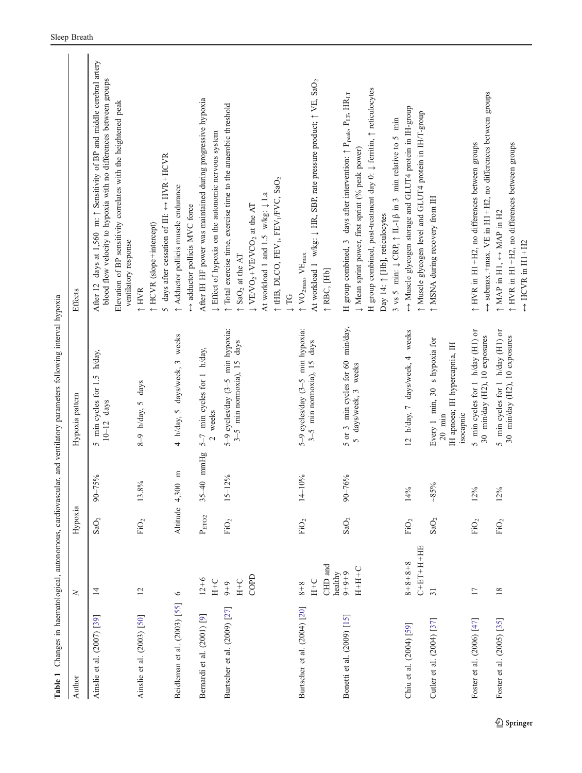<span id="page-2-0"></span>

| Author                       | $\geq$                                 | Hypoxia          |                       | Hypoxia pattern                                                                         | Effects                                                                                                                                                                                                                                                                                                                                                                            |
|------------------------------|----------------------------------------|------------------|-----------------------|-----------------------------------------------------------------------------------------|------------------------------------------------------------------------------------------------------------------------------------------------------------------------------------------------------------------------------------------------------------------------------------------------------------------------------------------------------------------------------------|
| Ainslie et al. (2007) [39]   | $\overline{4}$                         | SaO <sub>2</sub> | 75%<br>$90 -$         | 5 min cycles for 1.5 h/day,<br>days<br>$10 - 12$                                        | days at 1,560 m: $\uparrow$ Sensitivity of BP and middle cerebral artery<br>blood flow velocity to hypoxia with no differences between groups<br>Elevation of BP sensitivity correlates with the heightened peak<br>ventilatory response<br>After 12                                                                                                                               |
| Ainslie et al. (2003) [50]   | 12                                     | ${\rm FiO_2}$    | 13.8%                 | $8-9$ h/day, 5 days                                                                     | 5 days after cessation of IH: $\leftrightarrow$ HVR+HCVR<br>↑ HCVR (slope+intercept)<br>↑ HVR                                                                                                                                                                                                                                                                                      |
| Beidleman et al. (2003) [55] | $\circ$                                |                  | Altitude 4,300 m      | 4 h/day, 5 days/week, 3 weeks                                                           | ↑ Adductor pollicis muscle endurance<br>← adductor pollicis MVC force                                                                                                                                                                                                                                                                                                              |
| Bernardi et al. (2001) [9]   | $12 + 6$<br>$H + C$                    | $P_{ETO2}$       | $40$ mmHg<br>$35 -$   | 5-7 min cycles for 1 h/day,<br>2 weeks                                                  | After IH HF power was maintained during progressive hypoxia<br>↓ Effect of hypoxia on the autonomic nervous system                                                                                                                                                                                                                                                                 |
| Burtscher et al. (2009) [27] | COPD<br>$H + C$<br>$6+6$               | ${\rm FiO_2}$    | 12%<br>$15 -$         | 5-9 cycles/day (3-5 min hypoxia:<br>3-5 min normoxia), 15 days                          | ↑ Total exercise time, exercise time to the anaerobic threshold<br>1 tHB, DLCO, FEV <sub>1</sub> , FEV <sub>1</sub> /FVC, SaO <sub>2</sub><br>At workload 1 and 1.5 w/kg: $\downarrow$ La<br>$\downarrow$ VE/VO <sub>2</sub> +VE/VCO <sub>2</sub> at the AT<br>f SaO <sub>2</sub> at the AT<br>$\downarrow$ TG                                                                     |
| Burtscher et al. (2004) [20] | CHD and<br>healthy<br>$H + C$<br>$8+8$ | ${\rm FiO_2}$    | 10%<br>$\overline{1}$ | 5-9 cycles/day (3-5 min hypoxia:<br>3-5 min normoxia), 15 days                          | At workload 1 w/kg: $\downarrow$ HR, SBP, rate pressure product; $\uparrow$ VE, SaO <sub>2</sub><br>$\uparrow$ VO <sub>2max</sub> , VE <sub>max</sub><br>↑RBC, [Hb]                                                                                                                                                                                                                |
| Bonetti et al. (2009) [15]   | $H + H + C$<br>$6 + 6 + 6$             | $\mathrm{SaO}_2$ | 76%<br>$-66$          | 5 or 3 min cycles for 60 min/day,<br>5 days/week, 3 weeks                               | H group combined, post-treatment day 0: $\downarrow$ ferritin, $\uparrow$ reticulocytes<br>H group combined, 3 days after intervention: $\uparrow P_{\text{peak}}$ , $P_{\text{LT}}$ , HR <sub>LT</sub><br>3 vs 5 min: $\downarrow$ CRP, $\uparrow$ IL-1 $\upbeta$ in 3 min relative to 5 min<br>↓ Mean sprint power, first sprint (% peak power)<br>Day 14: ↑ [Hb], reticulocytes |
| Chiu et al. (2004) [59]      | $C+ET+H+HE$<br>$8 + 8 + 8 + 8$         | ${\rm FiO_2}$    | 14%                   | 12 h/day, 7 days/week, 4 weeks                                                          | ← Muscle glycogen storage and GLUT4 protein in IH-group<br>↑ Muscle glycogen level and GLUT4 protein in IH/T-group                                                                                                                                                                                                                                                                 |
| Cutler et al. (2004) [37]    | $\overline{31}$                        | $\mathrm{SoO}_2$ | $-85%$                | Every 1 min, 30 s hypoxia for<br>IH apnoea; IH hypercapnia, IH<br>isocapnic<br>$20$ min | ↑ MSNA during recovery from IH                                                                                                                                                                                                                                                                                                                                                     |
| Foster et al. (2006) [47]    | 17                                     | ${\rm FiO_2}$    | 12%                   | 5 min cycles for 1 h/day (H1) or<br>30 min/day (H2), 10 exposures                       | ← submax. +max. VE in H1+H2, no differences between groups<br>↑ HVR in H1+H2, no differences between groups                                                                                                                                                                                                                                                                        |
| Foster et al. (2005) [35]    | $18\,$                                 | ${\rm FiO_2}$    | 12%                   | 5 min cycles for 1 h/day (H1) or<br>30 min/day (H2), 10 exposures                       | ↑ HVR in H1+H2, no differences between groups<br>$\uparrow$ MAP in H1, $\leftrightarrow$ MAP in H2<br>$\leftrightarrow$ HCVR in H1+H2                                                                                                                                                                                                                                              |

Table 1 Changes in haematological, autonomous, cardiovascular, and ventilatory parameters following interval hypoxia Table 1 Changes in haematological, autonomous, cardiovascular, and ventilatory parameters following interval hypoxia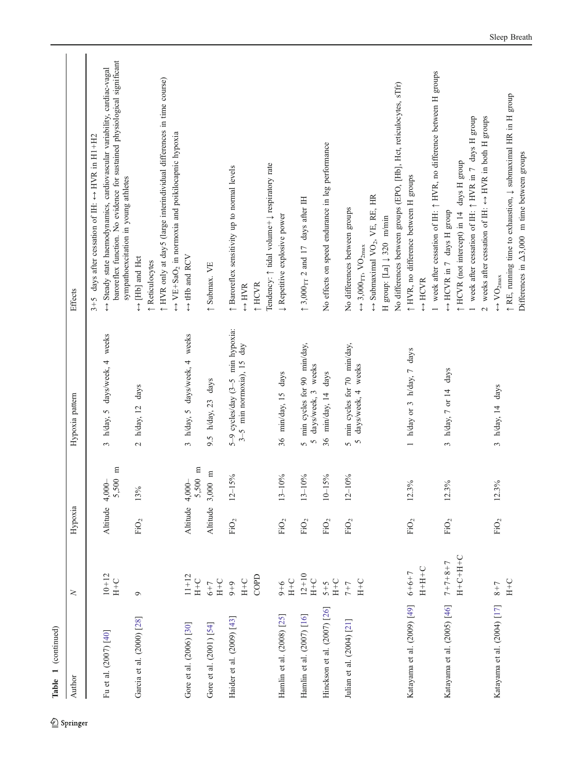| Table 1 (continued)         |                      |                  |                     |                                                                         |                                                                                                                                                                                             |
|-----------------------------|----------------------|------------------|---------------------|-------------------------------------------------------------------------|---------------------------------------------------------------------------------------------------------------------------------------------------------------------------------------------|
| Author                      | $\geq$               | Hypoxia          |                     | Hypoxia pattern                                                         | Effects                                                                                                                                                                                     |
|                             |                      |                  |                     |                                                                         | days after cessation of IH: $\leftrightarrow$ HVR in H1+H2<br>$3 + 5$                                                                                                                       |
| Fu et al. (2007) [40]       | $10 + 12$<br>$H+C$   | Altitude 4,000   | $\Xi$<br>5,500      | days/week, 4 weeks<br>$h$ /day, 5<br>$\epsilon$                         | baroreflex function. No evidence for sustained physiological significant<br>← Steady state haemodynamics, cardiovascular variability, cardiac-vagal<br>sympathoexcitation in young athletes |
| Garcia et al. (2000) [28]   | $\circ$              | ${\rm FiO_2}$    | 13%                 | h/day, 12 days<br>$\sim$                                                | $\leftrightarrow$ [Hb] and Hct                                                                                                                                                              |
|                             |                      |                  |                     |                                                                         | ↑ Reticulocytes                                                                                                                                                                             |
|                             |                      |                  |                     |                                                                         | ↑ HVR only at day5 (large interindividual differences in time course)                                                                                                                       |
|                             |                      |                  |                     |                                                                         | ← VE+SaO <sub>2</sub> in normoxia and poikilocapnic hypoxia                                                                                                                                 |
| Gore et al. (2006) [30]     | $11 + 12$<br>$H + C$ | Altitude 4,000-  | $\Xi$<br>5,500      | days/week, 4 weeks<br>$3$ h/day, $5$                                    | $\leftrightarrow$ tHb and RCV                                                                                                                                                               |
| Gore et al. (2001) [54]     | $H + C$<br>$6 + 7$   | Altitude         | $3,000$ m           | $\rm days$<br>9.5 h/day, 23                                             | ↑ Submax. VE                                                                                                                                                                                |
| Haider et al. (2009) [43]   | $H + C$<br>$6 + 6$   | $\mathrm{FiO}_2$ | 5%<br>$12 -$        | 5-9 cycles/day (3-5 min hypoxia:<br>day<br>$3-5$ min normoxia), $15$    | ↑ Baroreflex sensitivity up to normal levels<br>$\leftrightarrow$ HVR                                                                                                                       |
|                             | COPD                 |                  |                     |                                                                         | ↑HCVR                                                                                                                                                                                       |
|                             |                      |                  |                     |                                                                         | Tendency: $\uparrow$ tidal volume+1 respiratory rate                                                                                                                                        |
| Hamlin et al. (2008) [25]   | $H + C$<br>$9 + 6$   | ${\rm FiO_2}$    | $0\%$<br>$13-$      | days<br>36 min/day, 15                                                  | ↓ Repetitive explosive power                                                                                                                                                                |
| Hamlin et al. (2007) [16]   | $12+10$<br>$H + C$   | ${\rm FiO_2}$    | $0\%$<br>$13 -$     | 5 min cycles for 90 min/day,<br>weeks<br>days/week, 3<br>$\overline{5}$ | $\uparrow$ 3,000 <sub>TT</sub> 2 and 17 days after IH                                                                                                                                       |
| Hinckson et al. (2007) [26] | $H + C$<br>$5 + 5$   | ${\rm FiO_2}$    | 5%<br>$\Rightarrow$ | days<br>36 min/day, 14                                                  | No effects on speed endurance in leg performance                                                                                                                                            |
| Julian et al. (2004) [21]   | $7+7$                | ${\rm FiO_{2}}$  | 10%<br>$12-$        | 5 min cycles for 70 min/day,                                            | No differences between groups                                                                                                                                                               |
|                             | $H + C$              |                  |                     | days/week, 4 weeks<br>$\overline{5}$                                    | $\leftrightarrow$ 3,000 <sub>TD</sub> VO <sub>2max</sub>                                                                                                                                    |
|                             |                      |                  |                     |                                                                         | $\leftrightarrow$ Submaximal VO <sub>2</sub> , VE, RE, HR                                                                                                                                   |
|                             |                      |                  |                     |                                                                         | H group: [La] $\downarrow$ 320 m/min                                                                                                                                                        |
|                             |                      |                  |                     |                                                                         | sTfr)<br>No differences between groups (EPO, [Hb], Hct, reticulocytes,                                                                                                                      |
| Katayama et al. (2009) [49] | $6 + 6 + 7$          | ${\rm FiO_2}$    | 12.3%               | days<br>1 h/day or 3 h/day, 7                                           | ↑ HVR, no difference between H groups                                                                                                                                                       |
|                             | $H+H+C$              |                  |                     |                                                                         | $\leftrightarrow$ HCVR                                                                                                                                                                      |
|                             |                      |                  |                     |                                                                         | 1 week after cessation of IH: $\uparrow$ HVR, no difference between H groups                                                                                                                |
| Katayama et al. (2005) [46] | $7 + 8 + 7 + 8 + 7$  | ${\rm FiO_2}$    | 12.3%               | h/day, 7 or 14 days<br>$\tilde{5}$                                      | ← HCVR in 7 days H group                                                                                                                                                                    |
|                             | $H + C + H + C$      |                  |                     |                                                                         | ↑ HCVR (not intercept) in 14 days H group                                                                                                                                                   |
|                             |                      |                  |                     |                                                                         | 1 week after cessation of IH: $\uparrow$ HVR in 7 days H group                                                                                                                              |
|                             |                      |                  |                     |                                                                         | weeks after cessation of IH: $\leftrightarrow$ HVR in both H groups<br>$\overline{\mathcal{L}}$                                                                                             |
| Katayama et al. (2004) [17] | $8 + 7$              | ${\rm FiO_2}$    | 12.3%               | 3 h/day, 14 days                                                        | $\leftrightarrow$ VO <sub>2max</sub>                                                                                                                                                        |
|                             | $H + C$              |                  |                     |                                                                         | ↑ RE, running time to exhaustion, $\downarrow$ submaximal HR in H group                                                                                                                     |
|                             |                      |                  |                     |                                                                         | Differences in $\Delta 3,000$ m time between groups                                                                                                                                         |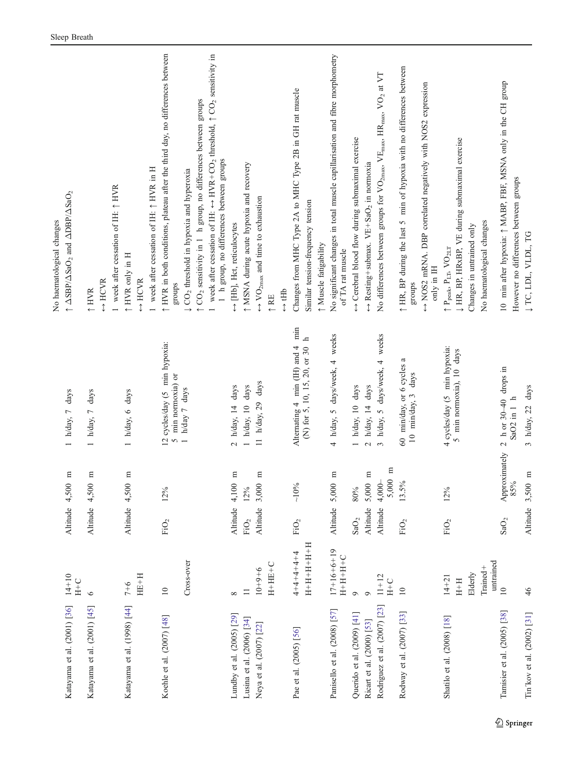|                              |                                 |                  |                              |                                                                                  | No haematological changes                                                                                                                                          |
|------------------------------|---------------------------------|------------------|------------------------------|----------------------------------------------------------------------------------|--------------------------------------------------------------------------------------------------------------------------------------------------------------------|
| Katayama et al. (2001) [36]  | $14 + 10$<br>$H + C$            | Altitude 4,500   | $\Xi$                        | h/day, 7 days<br>$\overline{\phantom{0}}$                                        | $\uparrow \Delta$ SBP/ $\Delta$ SaO <sub>2</sub> and $\Delta$ DBP/ $\Delta$ SaO <sub>2</sub>                                                                       |
| Katayama et al. (2001) [45]  | $\circ$                         | Altitude 4,500   | E                            | h/day, 7 days<br>$\overline{a}$                                                  | ↑HVR                                                                                                                                                               |
|                              |                                 |                  |                              |                                                                                  | $\leftrightarrow$ HCVR                                                                                                                                             |
|                              |                                 |                  |                              |                                                                                  | 1 week after cessation of IH: $\uparrow$ HVR                                                                                                                       |
| Katayama et al. (1998) [44]  | $7 + 6$                         | Altitude 4,500   | $\Xi$                        | 1 h/day, 6 days                                                                  | ↑ HVR only in H                                                                                                                                                    |
|                              | HE+H                            |                  |                              |                                                                                  | $\leftrightarrow$ HCVR                                                                                                                                             |
|                              |                                 |                  |                              |                                                                                  | week after cessation of IH: $\uparrow$ HVR in H                                                                                                                    |
| Koehle et al. (2007) [48]    | $10$                            | FiO <sub>2</sub> | 12%                          | 12 cycles/day (5 min hypoxia:                                                    | ↑ HVR in both conditions, plateau after the third day, no differences between                                                                                      |
|                              |                                 |                  |                              | min normoxia) or<br>$\sim$ $-$                                                   | groups                                                                                                                                                             |
|                              | Cross-over                      |                  |                              | days<br>h/day 7                                                                  | ↓ CO <sub>2</sub> threshold in hypoxia and hyperoxia                                                                                                               |
|                              |                                 |                  |                              |                                                                                  | $\uparrow$ CO <sub>2</sub> sensitivity in 1 h group, no differences between groups                                                                                 |
|                              |                                 |                  |                              |                                                                                  | week after cessation of IH: $\leftrightarrow$ HVR+CO <sub>2</sub> threshold, $\uparrow$ CO <sub>2</sub> sensitivity in<br>1 h group, no differences between groups |
| Lundby et al. (2005) [29]    | ${}^{\circ}$                    | Altitude 4,100   | $\Xi$                        | $2$ h/day, 14 days                                                               | $\leftrightarrow$ [Hb], Hct, reticulocytes                                                                                                                         |
| Lusina et al. (2006) [34]    | $\equiv$                        | $\mathrm{FiO}_2$ | 12%                          | h/day, 10 days                                                                   | ↑ MSNA during acute hypoxia and recovery                                                                                                                           |
| Neya et al. (2007) [22]      | $10+9+6$                        | Altitude 3,000   | $\Xi$                        | days<br>11 h/day, 29                                                             | $\leftrightarrow$ VO <sub>2max</sub> and time to exhaustion                                                                                                        |
|                              | $H + HE + C$                    |                  |                              |                                                                                  | ↑RE                                                                                                                                                                |
|                              |                                 |                  |                              |                                                                                  | $\leftrightarrow$ tHb                                                                                                                                              |
| Pae et al. (2005) [56]       | $4 + 4 + 4 + 4 + 4$             | ${\rm FiO_2}$    | $~10\%$                      | min<br>$\mathbf{a}$<br>Alternating 4 min (IH) and 4 (N) for 5, 10, 15, 20, or 30 | Changes from MHC Type 2A to MHC Type 2B in GH rat muscle                                                                                                           |
|                              | $H+H+H+H+H$                     |                  |                              |                                                                                  | Similar tension-frequency tension                                                                                                                                  |
|                              |                                 |                  |                              |                                                                                  | ↑ Muscle fatigability                                                                                                                                              |
| Panisello et al. (2008) [57] | $17+16+6+19$<br>$H + H + H + C$ | Altitude 5,000   | $\Xi$                        | h/day, 5 days/week, 4 weeks<br>$\overline{a}$                                    | No significant changes in total muscle capillarisation and fibre morphometry<br>of TA rat muscle                                                                   |
| Querido et al. (2009) [41]   | Ò                               | SaO <sub>2</sub> | 80%                          | h/day, 10 days<br>$\overline{\phantom{0}}$                                       | ← Cerebral blood flow during submaximal exercise                                                                                                                   |
| Ricart et al. (2000) [53]    |                                 | Altitude         | $5,000$ m                    | h/day, 14 days<br>$\overline{\mathcal{L}}$                                       | $\leftrightarrow$ Resting+submax. VE+SaO <sub>2</sub> in normoxia                                                                                                  |
| Rodriguez et al. (2007) [23] | $11 + 12$<br>$H + C$            | Altitude 4,000-  | $5,000$ m                    | weeks<br>4<br>h/day, 5 days/week,<br>$\tilde{\mathcal{E}}$                       | No differences between groups for VO <sub>2max</sub> , VE <sub>max</sub> , HR <sub>max</sub> , VO <sub>2</sub> at VT                                               |
| Rodway et al. (2007) [33]    | $\overline{10}$                 | ${\rm FiO_2}$    | 13.5%                        | ß<br>60 min/day, or 6 cycles<br>days<br>$10 \text{ min/day}, 3$                  | THR, BP during the last 5 min of hypoxia with no differences between<br>groups                                                                                     |
|                              |                                 |                  |                              |                                                                                  | ANOS2 mRNA. DBP correlated negatively with NOS2 expression<br>only in $\mathbb H$                                                                                  |
| Shatilo et al. (2008) [18]   | $14 + 21$<br>$H+H$              | ${\rm FiO_2}$    | 12%                          | 4 cycles/day (5 min hypoxia:<br>min normoxia), 10 days<br>$\overline{6}$         | ↓ HR, BP, HRxBP, VE during submaximal exercise<br>$\uparrow$ P <sub>peak</sub> , P <sub>LT</sub> , VO <sub>2LT</sub>                                               |
|                              | Elderly                         |                  |                              |                                                                                  | Changes in untrained only                                                                                                                                          |
|                              | untrained<br>Trained+           |                  |                              |                                                                                  | No haematological changes                                                                                                                                          |
| Tamisier et al. (2005) [38]  | $\overline{10}$                 | SaO <sub>2</sub> | Approximately                | $2 h$ or $30-40$ drops in                                                        | 10 min after hypoxia: ↑ MABP, FBF, MSNA only in the CH group                                                                                                       |
|                              |                                 |                  | $\check{\phantom{0}}$<br>85% | ᅩ<br>SaO2 in 1                                                                   | However no differences between groups                                                                                                                              |
| Tin'kov et al. (2002) [31]   | 46                              | Altitude 3,500 m |                              | 3 h/day, 22 days                                                                 | J TC, LDL, VLDL, TG                                                                                                                                                |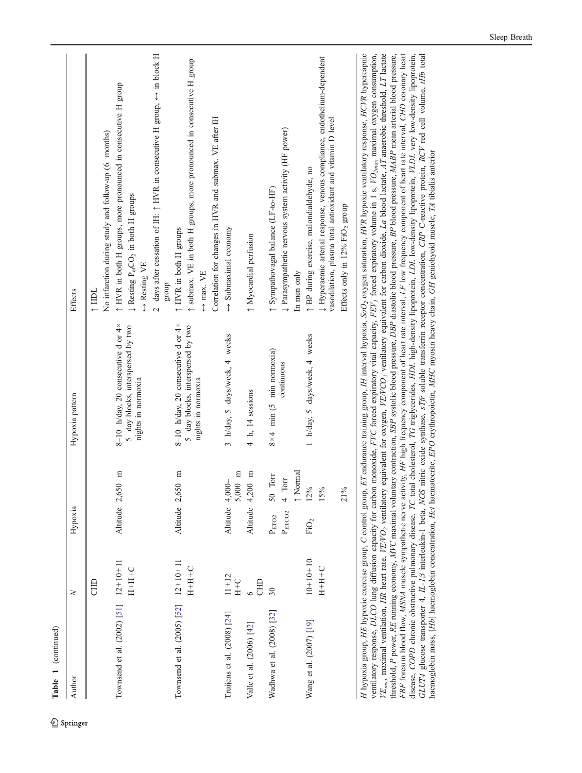| Table 1 (continued)                                                                                                                                                                                 |                           |                                                                                    |                                                                                                       |                                                                                                                                                                                                                                                                                                                                                                                                                                                                                                                                                                                                                                                                                                                                                                                                                                                                                                                                                                                                                                                                                                                                                                                                                                                                                                                                                                                                            |
|-----------------------------------------------------------------------------------------------------------------------------------------------------------------------------------------------------|---------------------------|------------------------------------------------------------------------------------|-------------------------------------------------------------------------------------------------------|------------------------------------------------------------------------------------------------------------------------------------------------------------------------------------------------------------------------------------------------------------------------------------------------------------------------------------------------------------------------------------------------------------------------------------------------------------------------------------------------------------------------------------------------------------------------------------------------------------------------------------------------------------------------------------------------------------------------------------------------------------------------------------------------------------------------------------------------------------------------------------------------------------------------------------------------------------------------------------------------------------------------------------------------------------------------------------------------------------------------------------------------------------------------------------------------------------------------------------------------------------------------------------------------------------------------------------------------------------------------------------------------------------|
| Author                                                                                                                                                                                              | $\geq$                    | Нурохіа                                                                            | Hypoxia pattern                                                                                       | Effects                                                                                                                                                                                                                                                                                                                                                                                                                                                                                                                                                                                                                                                                                                                                                                                                                                                                                                                                                                                                                                                                                                                                                                                                                                                                                                                                                                                                    |
|                                                                                                                                                                                                     | CHD                       |                                                                                    |                                                                                                       | No infarction during study and follow-up (6 months)<br>TCH 1                                                                                                                                                                                                                                                                                                                                                                                                                                                                                                                                                                                                                                                                                                                                                                                                                                                                                                                                                                                                                                                                                                                                                                                                                                                                                                                                               |
| Townsend et al. (2002) [51] 12+10+11                                                                                                                                                                | $H + H + C$               | E<br>Altitude 2,650                                                                | 8-10 h/day, 20 consecutive d or $4 \times$<br>5 day blocks, interspersed by two<br>nights in normoxia | 2 days after cessation of IH: $\uparrow$ HVR in consecutive H group, $\leftrightarrow$ in block H<br>↑ HVR in both H groups, more pronounced in consecutive H group<br>$\downarrow$ Resting P <sub>c</sub> CO <sub>2</sub> in both H groups<br>$\leftrightarrow$ Resting VE<br>group                                                                                                                                                                                                                                                                                                                                                                                                                                                                                                                                                                                                                                                                                                                                                                                                                                                                                                                                                                                                                                                                                                                       |
| Townsend et al. $(2005)$ [52] $12+10+11$                                                                                                                                                            | $H + H + C$               | Altitude 2,650 m                                                                   | 8-10 h/day, 20 consecutive d or $4 \times$<br>5 day blocks, interspersed by two<br>nights in normoxia | 1 submax. VE in both H groups, more pronounced in consecutive H group<br>Correlation for changes in HVR and submax. VE after IH<br>↑ HVR in both H groups<br>$\leftrightarrow$ max. VE                                                                                                                                                                                                                                                                                                                                                                                                                                                                                                                                                                                                                                                                                                                                                                                                                                                                                                                                                                                                                                                                                                                                                                                                                     |
| Truijens et al. (2008) [24]                                                                                                                                                                         | $11 + 12$<br>$H + C$      | $5,000$ m<br>Altitude 4,000-                                                       | 3 h/day, 5 days/week, 4 weeks                                                                         | ← Submaximal economy                                                                                                                                                                                                                                                                                                                                                                                                                                                                                                                                                                                                                                                                                                                                                                                                                                                                                                                                                                                                                                                                                                                                                                                                                                                                                                                                                                                       |
| Valle et al. (2006) [42]                                                                                                                                                                            | CHD                       | Altitude 4,200 m                                                                   | 4 h, 14 sessions                                                                                      | ↑ Myocardial perfusion                                                                                                                                                                                                                                                                                                                                                                                                                                                                                                                                                                                                                                                                                                                                                                                                                                                                                                                                                                                                                                                                                                                                                                                                                                                                                                                                                                                     |
| Wadhwa et al. (2008) [32]                                                                                                                                                                           | $\overline{30}$           | Normal<br>Torr<br><b>TIO</b><br>$4\overline{1}$<br>50<br>$P_{ETCO2}$<br>$P_{ETO2}$ | $8 \times 4$ min (5 min normoxia)<br>continuous                                                       | Parasympathetic nervous system activity (HF power)<br>↑ Sympathovagal balance (LF-to-HF)<br>In men only                                                                                                                                                                                                                                                                                                                                                                                                                                                                                                                                                                                                                                                                                                                                                                                                                                                                                                                                                                                                                                                                                                                                                                                                                                                                                                    |
| Wang et al. (2007) [19]                                                                                                                                                                             | $10+10+10$<br>$H + H + C$ | $12\%$<br>15%<br>$21\%$<br>${\rm FiO_2}$                                           | 1 h/day, 5 days/week, 4 weeks                                                                         | U Hyperaemic arterial response, venous compliance, endothelium-dependent<br>vasodilation, plasma total antioxidant and vitamin D level<br>↑ BP during exercise, malondialdehyde, no<br>Effects only in 12% FiO <sub>2</sub> group                                                                                                                                                                                                                                                                                                                                                                                                                                                                                                                                                                                                                                                                                                                                                                                                                                                                                                                                                                                                                                                                                                                                                                          |
| H hypoxia group, HE hypoxic exercise group, C control group,<br>$VE_{max}$ maximal ventilation, HR heart rate, $VE/VO_2$ ventilatory<br>GLUT4 glucose transporter 4, IL-1/3 interleukin-1 beta, NOS |                           |                                                                                    |                                                                                                       | ET endurance training group, IH interval hypoxia, SaO <sub>2</sub> oxygen saturation, HVR hypoxic ventilatory response, HCVR hypercapnic<br>ventilatory response, DLCO lung diffusion capacity for carbon monoxide, FVC forced expiratory vital capacity, FBV <sub>1</sub> forced expiratory volume in 1 s, VO <sub>2max</sub> maximal oxygen consumption,<br>equivalent for oxygen, VE/VCO <sub>2</sub> ventilatory equivalent for carbon dioxide, <i>La</i> blood lactate, AT anaerobic threshold, LT lactate<br>threshold, P power, RE running economy, MI/C maximal voluntary contraction, SBP systolic blood pressure, DBP diastolic blood pressure, BP blood pressure, MABP mean arterial blood pressure,<br>FBF forearm blood flow, MSNA muscle sympathetic nerve activity, HF high frequency component of heart rate interval, LF low frequency component of heart rate interval, CHD coronary heart<br>disease, COPD chronic obstructive pulmonary disease, TC total cholesterol, TG triglycerides, HDL high-density lipoprotein, LDL low-density lipoprotein, VLDL very low-density lipoprotein,<br>nitric oxide synthase, sTfr soluble transferrin receptor concentration, CRP C-reactive protein, RCV red cell volume, tHb total<br>haemoglobin mass, [Hb] haemoglobin concentration, Hct haematocrite, EPO erythropoietin, MHC myosin heavy chain, GH geniohyoid muscle, TA tibialis anterior |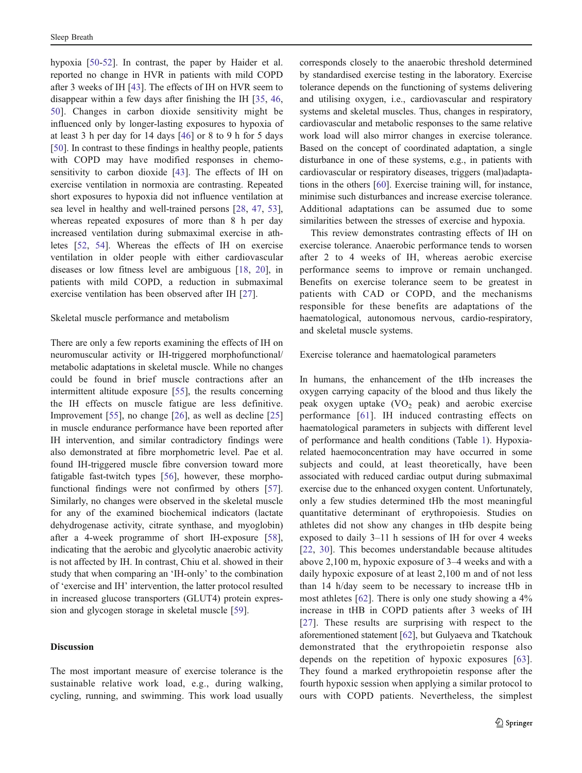hypoxia [[50-52](#page-10-0)]. In contrast, the paper by Haider et al. reported no change in HVR in patients with mild COPD after 3 weeks of IH [\[43](#page-10-0)]. The effects of IH on HVR seem to disappear within a few days after finishing the IH [\[35](#page-10-0), [46](#page-10-0), [50\]](#page-10-0). Changes in carbon dioxide sensitivity might be influenced only by longer-lasting exposures to hypoxia of at least 3 h per day for 14 days [\[46](#page-10-0)] or 8 to 9 h for 5 days [[50\]](#page-10-0). In contrast to these findings in healthy people, patients with COPD may have modified responses in chemosensitivity to carbon dioxide [[43](#page-10-0)]. The effects of IH on exercise ventilation in normoxia are contrasting. Repeated short exposures to hypoxia did not influence ventilation at sea level in healthy and well-trained persons [[28,](#page-10-0) [47,](#page-10-0) [53](#page-10-0)], whereas repeated exposures of more than 8 h per day increased ventilation during submaximal exercise in athletes [\[52](#page-10-0), [54\]](#page-10-0). Whereas the effects of IH on exercise ventilation in older people with either cardiovascular diseases or low fitness level are ambiguous [\[18](#page-9-0), [20\]](#page-9-0), in patients with mild COPD, a reduction in submaximal exercise ventilation has been observed after IH [\[27](#page-9-0)].

#### Skeletal muscle performance and metabolism

There are only a few reports examining the effects of IH on neuromuscular activity or IH-triggered morphofunctional/ metabolic adaptations in skeletal muscle. While no changes could be found in brief muscle contractions after an intermittent altitude exposure [\[55](#page-10-0)], the results concerning the IH effects on muscle fatigue are less definitive. Improvement [[55\]](#page-10-0), no change [[26\]](#page-9-0), as well as decline [[25\]](#page-9-0) in muscle endurance performance have been reported after IH intervention, and similar contradictory findings were also demonstrated at fibre morphometric level. Pae et al. found IH-triggered muscle fibre conversion toward more fatigable fast-twitch types [[56\]](#page-10-0), however, these morphofunctional findings were not confirmed by others [\[57](#page-10-0)]. Similarly, no changes were observed in the skeletal muscle for any of the examined biochemical indicators (lactate dehydrogenase activity, citrate synthase, and myoglobin) after a 4-week programme of short IH-exposure [[58](#page-10-0)], indicating that the aerobic and glycolytic anaerobic activity is not affected by IH. In contrast, Chiu et al. showed in their study that when comparing an 'IH-only' to the combination of 'exercise and IH' intervention, the latter protocol resulted in increased glucose transporters (GLUT4) protein expression and glycogen storage in skeletal muscle [\[59](#page-10-0)].

#### **Discussion**

The most important measure of exercise tolerance is the sustainable relative work load, e.g., during walking, cycling, running, and swimming. This work load usually corresponds closely to the anaerobic threshold determined by standardised exercise testing in the laboratory. Exercise tolerance depends on the functioning of systems delivering and utilising oxygen, i.e., cardiovascular and respiratory systems and skeletal muscles. Thus, changes in respiratory, cardiovascular and metabolic responses to the same relative work load will also mirror changes in exercise tolerance. Based on the concept of coordinated adaptation, a single disturbance in one of these systems, e.g., in patients with cardiovascular or respiratory diseases, triggers (mal)adaptations in the others [\[60](#page-10-0)]. Exercise training will, for instance, minimise such disturbances and increase exercise tolerance. Additional adaptations can be assumed due to some similarities between the stresses of exercise and hypoxia.

This review demonstrates contrasting effects of IH on exercise tolerance. Anaerobic performance tends to worsen after 2 to 4 weeks of IH, whereas aerobic exercise performance seems to improve or remain unchanged. Benefits on exercise tolerance seem to be greatest in patients with CAD or COPD, and the mechanisms responsible for these benefits are adaptations of the haematological, autonomous nervous, cardio-respiratory, and skeletal muscle systems.

#### Exercise tolerance and haematological parameters

In humans, the enhancement of the tHb increases the oxygen carrying capacity of the blood and thus likely the peak oxygen uptake  $(VO<sub>2</sub>$  peak) and aerobic exercise performance [[61](#page-10-0)]. IH induced contrasting effects on haematological parameters in subjects with different level of performance and health conditions (Table [1\)](#page-2-0). Hypoxiarelated haemoconcentration may have occurred in some subjects and could, at least theoretically, have been associated with reduced cardiac output during submaximal exercise due to the enhanced oxygen content. Unfortunately, only a few studies determined tHb the most meaningful quantitative determinant of erythropoiesis. Studies on athletes did not show any changes in tHb despite being exposed to daily 3–11 h sessions of IH for over 4 weeks [\[22](#page-9-0), [30](#page-10-0)]. This becomes understandable because altitudes above 2,100 m, hypoxic exposure of 3–4 weeks and with a daily hypoxic exposure of at least 2,100 m and of not less than 14 h/day seem to be necessary to increase tHb in most athletes [[62\]](#page-10-0). There is only one study showing a 4% increase in tHB in COPD patients after 3 weeks of IH [\[27](#page-9-0)]. These results are surprising with respect to the aforementioned statement [\[62\]](#page-10-0), but Gulyaeva and Tkatchouk demonstrated that the erythropoietin response also depends on the repetition of hypoxic exposures [[63](#page-10-0)]. They found a marked erythropoietin response after the fourth hypoxic session when applying a similar protocol to ours with COPD patients. Nevertheless, the simplest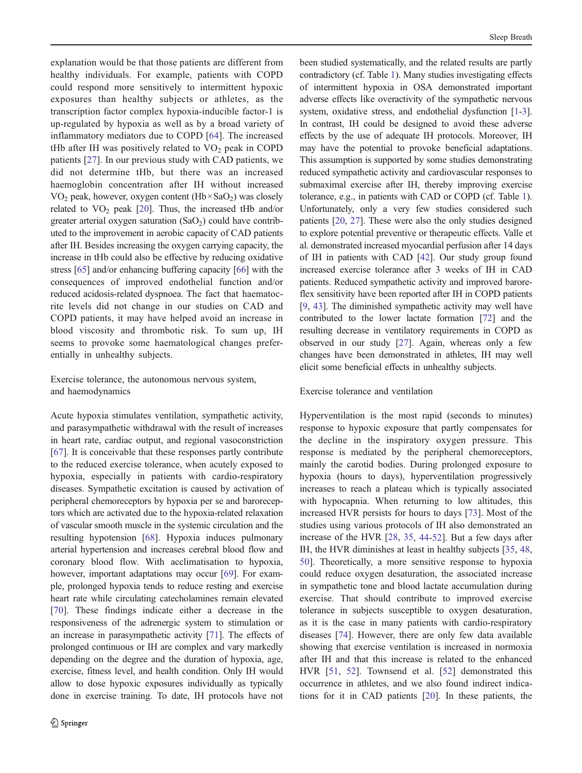explanation would be that those patients are different from healthy individuals. For example, patients with COPD could respond more sensitively to intermittent hypoxic exposures than healthy subjects or athletes, as the transcription factor complex hypoxia-inducible factor-1 is up-regulated by hypoxia as well as by a broad variety of inflammatory mediators due to COPD [[64](#page-10-0)]. The increased tHb after IH was positively related to  $VO<sub>2</sub>$  peak in COPD patients [[27](#page-9-0)]. In our previous study with CAD patients, we did not determine tHb, but there was an increased haemoglobin concentration after IH without increased  $VO<sub>2</sub>$  peak, however, oxygen content (Hb×SaO<sub>2</sub>) was closely related to  $VO<sub>2</sub>$  peak [[20](#page-9-0)]. Thus, the increased tHb and/or greater arterial oxygen saturation  $(SaO<sub>2</sub>)$  could have contributed to the improvement in aerobic capacity of CAD patients after IH. Besides increasing the oxygen carrying capacity, the increase in tHb could also be effective by reducing oxidative stress [\[65\]](#page-10-0) and/or enhancing buffering capacity [\[66\]](#page-10-0) with the consequences of improved endothelial function and/or reduced acidosis-related dyspnoea. The fact that haematocrite levels did not change in our studies on CAD and COPD patients, it may have helped avoid an increase in blood viscosity and thrombotic risk. To sum up, IH seems to provoke some haematological changes preferentially in unhealthy subjects.

# Exercise tolerance, the autonomous nervous system, and haemodynamics

Acute hypoxia stimulates ventilation, sympathetic activity, and parasympathetic withdrawal with the result of increases in heart rate, cardiac output, and regional vasoconstriction [[67\]](#page-11-0). It is conceivable that these responses partly contribute to the reduced exercise tolerance, when acutely exposed to hypoxia, especially in patients with cardio-respiratory diseases. Sympathetic excitation is caused by activation of peripheral chemoreceptors by hypoxia per se and baroreceptors which are activated due to the hypoxia-related relaxation of vascular smooth muscle in the systemic circulation and the resulting hypotension [[68\]](#page-11-0). Hypoxia induces pulmonary arterial hypertension and increases cerebral blood flow and coronary blood flow. With acclimatisation to hypoxia, however, important adaptations may occur [\[69\]](#page-11-0). For example, prolonged hypoxia tends to reduce resting and exercise heart rate while circulating catecholamines remain elevated [[70\]](#page-11-0). These findings indicate either a decrease in the responsiveness of the adrenergic system to stimulation or an increase in parasympathetic activity [\[71](#page-11-0)]. The effects of prolonged continuous or IH are complex and vary markedly depending on the degree and the duration of hypoxia, age, exercise, fitness level, and health condition. Only IH would allow to dose hypoxic exposures individually as typically done in exercise training. To date, IH protocols have not been studied systematically, and the related results are partly contradictory (cf. Table [1\)](#page-2-0). Many studies investigating effects of intermittent hypoxia in OSA demonstrated important adverse effects like overactivity of the sympathetic nervous system, oxidative stress, and endothelial dysfunction [\[1-3](#page-9-0)]. In contrast, IH could be designed to avoid these adverse effects by the use of adequate IH protocols. Moreover, IH may have the potential to provoke beneficial adaptations. This assumption is supported by some studies demonstrating reduced sympathetic activity and cardiovascular responses to submaximal exercise after IH, thereby improving exercise tolerance, e.g., in patients with CAD or COPD (cf. Table [1](#page-2-0)). Unfortunately, only a very few studies considered such patients [\[20,](#page-9-0) [27](#page-9-0)]. These were also the only studies designed to explore potential preventive or therapeutic effects. Valle et al. demonstrated increased myocardial perfusion after 14 days of IH in patients with CAD [\[42\]](#page-10-0). Our study group found increased exercise tolerance after 3 weeks of IH in CAD patients. Reduced sympathetic activity and improved baroreflex sensitivity have been reported after IH in COPD patients [\[9,](#page-9-0) [43](#page-10-0)]. The diminished sympathetic activity may well have contributed to the lower lactate formation [\[72\]](#page-11-0) and the resulting decrease in ventilatory requirements in COPD as observed in our study [\[27](#page-9-0)]. Again, whereas only a few changes have been demonstrated in athletes, IH may well elicit some beneficial effects in unhealthy subjects.

#### Exercise tolerance and ventilation

Hyperventilation is the most rapid (seconds to minutes) response to hypoxic exposure that partly compensates for the decline in the inspiratory oxygen pressure. This response is mediated by the peripheral chemoreceptors, mainly the carotid bodies. During prolonged exposure to hypoxia (hours to days), hyperventilation progressively increases to reach a plateau which is typically associated with hypocapnia. When returning to low altitudes, this increased HVR persists for hours to days [\[73](#page-11-0)]. Most of the studies using various protocols of IH also demonstrated an increase of the HVR [\[28](#page-10-0), [35](#page-10-0), [44-52](#page-10-0)]. But a few days after IH, the HVR diminishes at least in healthy subjects [\[35](#page-10-0), [48](#page-10-0), [50\]](#page-10-0). Theoretically, a more sensitive response to hypoxia could reduce oxygen desaturation, the associated increase in sympathetic tone and blood lactate accumulation during exercise. That should contribute to improved exercise tolerance in subjects susceptible to oxygen desaturation, as it is the case in many patients with cardio-respiratory diseases [\[74](#page-11-0)]. However, there are only few data available showing that exercise ventilation is increased in normoxia after IH and that this increase is related to the enhanced HVR [[51,](#page-10-0) [52\]](#page-10-0). Townsend et al. [\[52](#page-10-0)] demonstrated this occurrence in athletes, and we also found indirect indications for it in CAD patients [\[20](#page-9-0)]. In these patients, the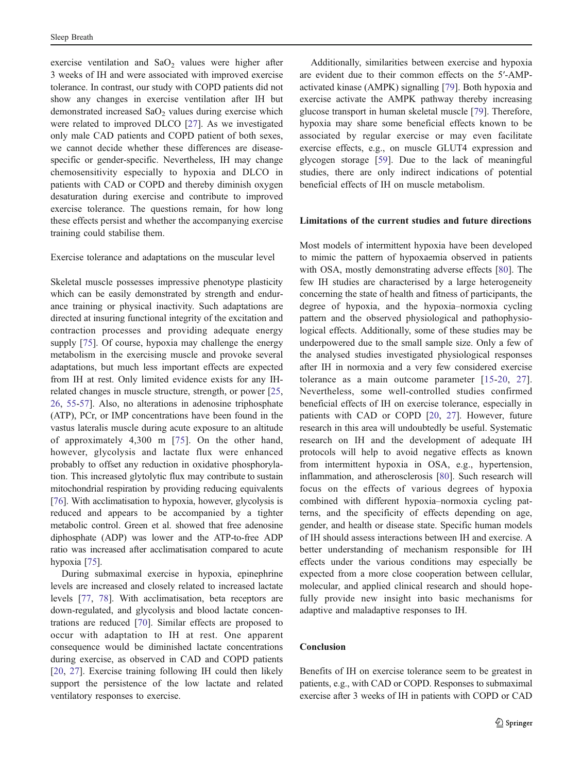exercise ventilation and  $SaO<sub>2</sub>$  values were higher after 3 weeks of IH and were associated with improved exercise tolerance. In contrast, our study with COPD patients did not show any changes in exercise ventilation after IH but demonstrated increased  $SaO<sub>2</sub>$  values during exercise which were related to improved DLCO [\[27](#page-9-0)]. As we investigated only male CAD patients and COPD patient of both sexes, we cannot decide whether these differences are diseasespecific or gender-specific. Nevertheless, IH may change chemosensitivity especially to hypoxia and DLCO in patients with CAD or COPD and thereby diminish oxygen desaturation during exercise and contribute to improved exercise tolerance. The questions remain, for how long these effects persist and whether the accompanying exercise training could stabilise them.

Exercise tolerance and adaptations on the muscular level

Skeletal muscle possesses impressive phenotype plasticity which can be easily demonstrated by strength and endurance training or physical inactivity. Such adaptations are directed at insuring functional integrity of the excitation and contraction processes and providing adequate energy supply [[75\]](#page-11-0). Of course, hypoxia may challenge the energy metabolism in the exercising muscle and provoke several adaptations, but much less important effects are expected from IH at rest. Only limited evidence exists for any IHrelated changes in muscle structure, strength, or power [\[25](#page-9-0), [26,](#page-9-0) [55-57](#page-10-0)]. Also, no alterations in adenosine triphosphate (ATP), PCr, or IMP concentrations have been found in the vastus lateralis muscle during acute exposure to an altitude of approximately 4,300 m [\[75\]](#page-11-0). On the other hand, however, glycolysis and lactate flux were enhanced probably to offset any reduction in oxidative phosphorylation. This increased glytolytic flux may contribute to sustain mitochondrial respiration by providing reducing equivalents [[76\]](#page-11-0). With acclimatisation to hypoxia, however, glycolysis is reduced and appears to be accompanied by a tighter metabolic control. Green et al. showed that free adenosine diphosphate (ADP) was lower and the ATP-to-free ADP ratio was increased after acclimatisation compared to acute hypoxia [\[75](#page-11-0)].

During submaximal exercise in hypoxia, epinephrine levels are increased and closely related to increased lactate levels [\[77](#page-11-0), [78](#page-11-0)]. With acclimatisation, beta receptors are down-regulated, and glycolysis and blood lactate concentrations are reduced [[70\]](#page-11-0). Similar effects are proposed to occur with adaptation to IH at rest. One apparent consequence would be diminished lactate concentrations during exercise, as observed in CAD and COPD patients [[20,](#page-9-0) [27](#page-9-0)]. Exercise training following IH could then likely support the persistence of the low lactate and related ventilatory responses to exercise.

Additionally, similarities between exercise and hypoxia are evident due to their common effects on the 5′-AMPactivated kinase (AMPK) signalling [[79\]](#page-11-0). Both hypoxia and exercise activate the AMPK pathway thereby increasing glucose transport in human skeletal muscle [\[79](#page-11-0)]. Therefore, hypoxia may share some beneficial effects known to be associated by regular exercise or may even facilitate exercise effects, e.g., on muscle GLUT4 expression and glycogen storage [[59\]](#page-10-0). Due to the lack of meaningful studies, there are only indirect indications of potential beneficial effects of IH on muscle metabolism.

#### Limitations of the current studies and future directions

Most models of intermittent hypoxia have been developed to mimic the pattern of hypoxaemia observed in patients with OSA, mostly demonstrating adverse effects [\[80](#page-11-0)]. The few IH studies are characterised by a large heterogeneity concerning the state of health and fitness of participants, the degree of hypoxia, and the hypoxia–normoxia cycling pattern and the observed physiological and pathophysiological effects. Additionally, some of these studies may be underpowered due to the small sample size. Only a few of the analysed studies investigated physiological responses after IH in normoxia and a very few considered exercise tolerance as a main outcome parameter [[15-20,](#page-9-0) [27](#page-9-0)]. Nevertheless, some well-controlled studies confirmed beneficial effects of IH on exercise tolerance, especially in patients with CAD or COPD [\[20](#page-9-0), [27](#page-9-0)]. However, future research in this area will undoubtedly be useful. Systematic research on IH and the development of adequate IH protocols will help to avoid negative effects as known from intermittent hypoxia in OSA, e.g., hypertension, inflammation, and atherosclerosis [80]. Such research will focus on the effects of various degrees of hypoxia combined with different hypoxia–normoxia cycling patterns, and the specificity of effects depending on age, gender, and health or disease state. Specific human models of IH should assess interactions between IH and exercise. A better understanding of mechanism responsible for IH effects under the various conditions may especially be expected from a more close cooperation between cellular, molecular, and applied clinical research and should hopefully provide new insight into basic mechanisms for adaptive and maladaptive responses to IH.

## Conclusion

Benefits of IH on exercise tolerance seem to be greatest in patients, e.g., with CAD or COPD. Responses to submaximal exercise after 3 weeks of IH in patients with COPD or CAD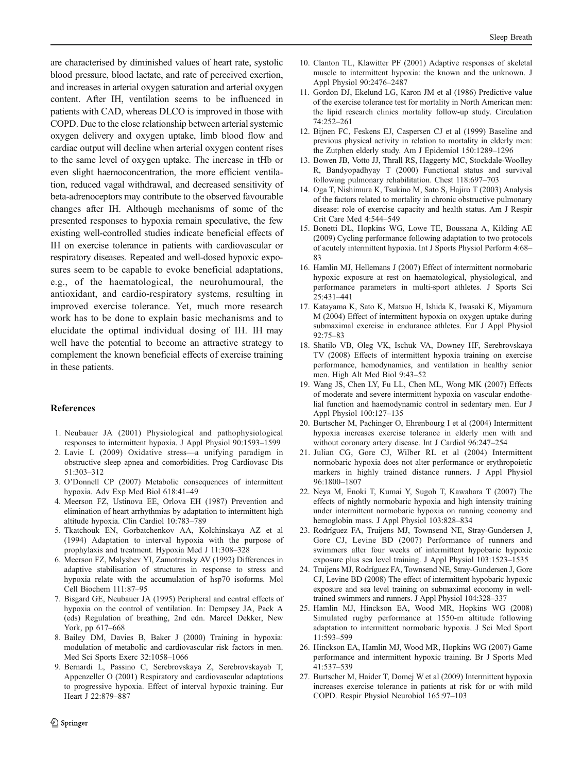<span id="page-9-0"></span>are characterised by diminished values of heart rate, systolic blood pressure, blood lactate, and rate of perceived exertion, and increases in arterial oxygen saturation and arterial oxygen content. After IH, ventilation seems to be influenced in patients with CAD, whereas DLCO is improved in those with COPD. Due to the close relationship between arterial systemic oxygen delivery and oxygen uptake, limb blood flow and cardiac output will decline when arterial oxygen content rises to the same level of oxygen uptake. The increase in tHb or even slight haemoconcentration, the more efficient ventilation, reduced vagal withdrawal, and decreased sensitivity of beta-adrenoceptors may contribute to the observed favourable changes after IH. Although mechanisms of some of the presented responses to hypoxia remain speculative, the few existing well-controlled studies indicate beneficial effects of IH on exercise tolerance in patients with cardiovascular or respiratory diseases. Repeated and well-dosed hypoxic exposures seem to be capable to evoke beneficial adaptations, e.g., of the haematological, the neurohumoural, the antioxidant, and cardio-respiratory systems, resulting in improved exercise tolerance. Yet, much more research work has to be done to explain basic mechanisms and to elucidate the optimal individual dosing of IH. IH may well have the potential to become an attractive strategy to complement the known beneficial effects of exercise training in these patients.

#### References

- 1. Neubauer JA (2001) Physiological and pathophysiological responses to intermittent hypoxia. J Appl Physiol 90:1593–1599
- 2. Lavie L (2009) Oxidative stress—a unifying paradigm in obstructive sleep apnea and comorbidities. Prog Cardiovasc Dis 51:303–312
- 3. O'Donnell CP (2007) Metabolic consequences of intermittent hypoxia. Adv Exp Med Biol 618:41–49
- 4. Meerson FZ, Ustinova EE, Orlova EH (1987) Prevention and elimination of heart arrhythmias by adaptation to intermittent high altitude hypoxia. Clin Cardiol 10:783–789
- 5. Tkatchouk EN, Gorbatchenkov AA, Kolchinskaya AZ et al (1994) Adaptation to interval hypoxia with the purpose of prophylaxis and treatment. Hypoxia Med J 11:308–328
- 6. Meerson FZ, Malyshev YI, Zamotrinsky AV (1992) Differences in adaptive stabilisation of structures in response to stress and hypoxia relate with the accumulation of hsp70 isoforms. Mol Cell Biochem 111:87–95
- 7. Bisgard GE, Neubauer JA (1995) Peripheral and central effects of hypoxia on the control of ventilation. In: Dempsey JA, Pack A (eds) Regulation of breathing, 2nd edn. Marcel Dekker, New York, pp 617–668
- 8. Bailey DM, Davies B, Baker J (2000) Training in hypoxia: modulation of metabolic and cardiovascular risk factors in men. Med Sci Sports Exerc 32:1058–1066
- 9. Bernardi L, Passino C, Serebrovskaya Z, Serebrovskayab T, Appenzeller O (2001) Respiratory and cardiovascular adaptations to progressive hypoxia. Effect of interval hypoxic training. Eur Heart J 22:879–887
- 10. Clanton TL, Klawitter PF (2001) Adaptive responses of skeletal muscle to intermittent hypoxia: the known and the unknown. J Appl Physiol 90:2476–2487
- 11. Gordon DJ, Ekelund LG, Karon JM et al (1986) Predictive value of the exercise tolerance test for mortality in North American men: the lipid research clinics mortality follow-up study. Circulation 74:252–261
- 12. Bijnen FC, Feskens EJ, Caspersen CJ et al (1999) Baseline and previous physical activity in relation to mortality in elderly men: the Zutphen elderly study. Am J Epidemiol 150:1289–1296
- 13. Bowen JB, Votto JJ, Thrall RS, Haggerty MC, Stockdale-Woolley R, Bandyopadhyay T (2000) Functional status and survival following pulmonary rehabilitation. Chest 118:697–703
- 14. Oga T, Nishimura K, Tsukino M, Sato S, Hajiro T (2003) Analysis of the factors related to mortality in chronic obstructive pulmonary disease: role of exercise capacity and health status. Am J Respir Crit Care Med 4:544–549
- 15. Bonetti DL, Hopkins WG, Lowe TE, Boussana A, Kilding AE (2009) Cycling performance following adaptation to two protocols of acutely intermittent hypoxia. Int J Sports Physiol Perform 4:68– 83
- 16. Hamlin MJ, Hellemans J (2007) Effect of intermittent normobaric hypoxic exposure at rest on haematological, physiological, and performance parameters in multi-sport athletes. J Sports Sci 25:431–441
- 17. Katayama K, Sato K, Matsuo H, Ishida K, Iwasaki K, Miyamura M (2004) Effect of intermittent hypoxia on oxygen uptake during submaximal exercise in endurance athletes. Eur J Appl Physiol 92:75–83
- 18. Shatilo VB, Oleg VK, Ischuk VA, Downey HF, Serebrovskaya TV (2008) Effects of intermittent hypoxia training on exercise performance, hemodynamics, and ventilation in healthy senior men. High Alt Med Biol 9:43–52
- 19. Wang JS, Chen LY, Fu LL, Chen ML, Wong MK (2007) Effects of moderate and severe intermittent hypoxia on vascular endothelial function and haemodynamic control in sedentary men. Eur J Appl Physiol 100:127–135
- 20. Burtscher M, Pachinger O, Ehrenbourg I et al (2004) Intermittent hypoxia increases exercise tolerance in elderly men with and without coronary artery disease. Int J Cardiol 96:247–254
- 21. Julian CG, Gore CJ, Wilber RL et al (2004) Intermittent normobaric hypoxia does not alter performance or erythropoietic markers in highly trained distance runners. J Appl Physiol 96:1800–1807
- 22. Neya M, Enoki T, Kumai Y, Sugoh T, Kawahara T (2007) The effects of nightly normobaric hypoxia and high intensity training under intermittent normobaric hypoxia on running economy and hemoglobin mass. J Appl Physiol 103:828–834
- 23. Rodríguez FA, Truijens MJ, Townsend NE, Stray-Gundersen J, Gore CJ, Levine BD (2007) Performance of runners and swimmers after four weeks of intermittent hypobaric hypoxic exposure plus sea level training. J Appl Physiol 103:1523–1535
- 24. Truijens MJ, Rodríguez FA, Townsend NE, Stray-Gundersen J, Gore CJ, Levine BD (2008) The effect of intermittent hypobaric hypoxic exposure and sea level training on submaximal economy in welltrained swimmers and runners. J Appl Physiol 104:328–337
- 25. Hamlin MJ, Hinckson EA, Wood MR, Hopkins WG (2008) Simulated rugby performance at 1550-m altitude following adaptation to intermittent normobaric hypoxia. J Sci Med Sport 11:593–599
- 26. Hinckson EA, Hamlin MJ, Wood MR, Hopkins WG (2007) Game performance and intermittent hypoxic training. Br J Sports Med 41:537–539
- 27. Burtscher M, Haider T, Domej W et al (2009) Intermittent hypoxia increases exercise tolerance in patients at risk for or with mild COPD. Respir Physiol Neurobiol 165:97–103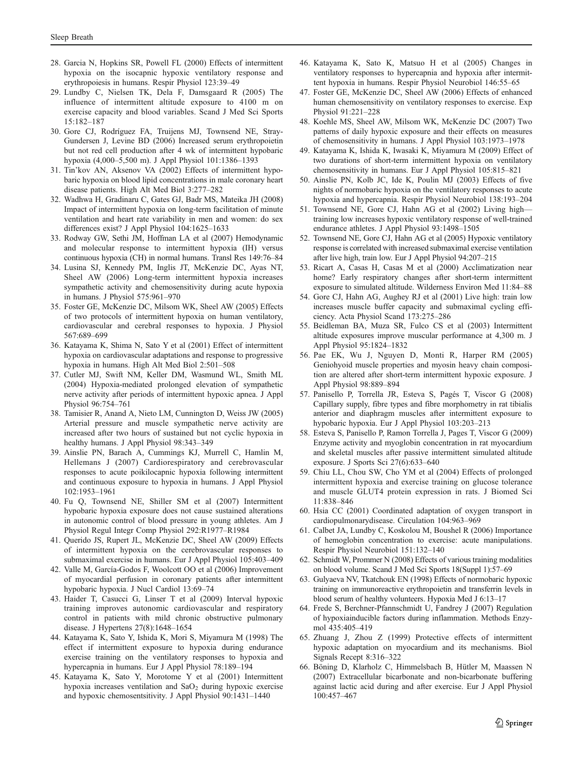- <span id="page-10-0"></span>28. Garcia N, Hopkins SR, Powell FL (2000) Effects of intermittent hypoxia on the isocapnic hypoxic ventilatory response and erythropoiesis in humans. Respir Physiol 123:39–49
- 29. Lundby C, Nielsen TK, Dela F, Damsgaard R (2005) The influence of intermittent altitude exposure to 4100 m on exercise capacity and blood variables. Scand J Med Sci Sports 15:182–187
- 30. Gore CJ, Rodríguez FA, Truijens MJ, Townsend NE, Stray-Gundersen J, Levine BD (2006) Increased serum erythropoietin but not red cell production after 4 wk of intermittent hypobaric hypoxia (4,000–5,500 m). J Appl Physiol 101:1386–1393
- 31. Tin'kov AN, Aksenov VA (2002) Effects of intermittent hypobaric hypoxia on blood lipid concentrations in male coronary heart disease patients. High Alt Med Biol 3:277–282
- 32. Wadhwa H, Gradinaru C, Gates GJ, Badr MS, Mateika JH (2008) Impact of intermittent hypoxia on long-term facilitation of minute ventilation and heart rate variability in men and women: do sex differences exist? J Appl Physiol 104:1625–1633
- 33. Rodway GW, Sethi JM, Hoffman LA et al (2007) Hemodynamic and molecular response to intermittent hypoxia (IH) versus continuous hypoxia (CH) in normal humans. Transl Res 149:76–84
- 34. Lusina SJ, Kennedy PM, Inglis JT, McKenzie DC, Ayas NT, Sheel AW (2006) Long-term intermittent hypoxia increases sympathetic activity and chemosensitivity during acute hypoxia in humans. J Physiol 575:961–970
- 35. Foster GE, McKenzie DC, Milsom WK, Sheel AW (2005) Effects of two protocols of intermittent hypoxia on human ventilatory, cardiovascular and cerebral responses to hypoxia. J Physiol 567:689–699
- 36. Katayama K, Shima N, Sato Y et al (2001) Effect of intermittent hypoxia on cardiovascular adaptations and response to progressive hypoxia in humans. High Alt Med Biol 2:501–508
- 37. Cutler MJ, Swift NM, Keller DM, Wasmund WL, Smith ML (2004) Hypoxia-mediated prolonged elevation of sympathetic nerve activity after periods of intermittent hypoxic apnea. J Appl Physiol 96:754–761
- 38. Tamisier R, Anand A, Nieto LM, Cunnington D, Weiss JW (2005) Arterial pressure and muscle sympathetic nerve activity are increased after two hours of sustained but not cyclic hypoxia in healthy humans. J Appl Physiol 98:343–349
- 39. Ainslie PN, Barach A, Cummings KJ, Murrell C, Hamlin M, Hellemans J (2007) Cardiorespiratory and cerebrovascular responses to acute poikilocapnic hypoxia following intermittent and continuous exposure to hypoxia in humans. J Appl Physiol 102:1953–1961
- 40. Fu Q, Townsend NE, Shiller SM et al (2007) Intermittent hypobaric hypoxia exposure does not cause sustained alterations in autonomic control of blood pressure in young athletes. Am J Physiol Regul Integr Comp Physiol 292:R1977–R1984
- 41. Querido JS, Rupert JL, McKenzie DC, Sheel AW (2009) Effects of intermittent hypoxia on the cerebrovascular responses to submaximal exercise in humans. Eur J Appl Physiol 105:403–409
- 42. Valle M, García-Godos F, Woolcott OO et al (2006) Improvement of myocardial perfusion in coronary patients after intermittent hypobaric hypoxia. J Nucl Cardiol 13:69–74
- 43. Haider T, Casucci G, Linser T et al (2009) Interval hypoxic training improves autonomic cardiovascular and respiratory control in patients with mild chronic obstructive pulmonary disease. J Hypertens 27(8):1648–1654
- 44. Katayama K, Sato Y, Ishida K, Mori S, Miyamura M (1998) The effect if intermittent exposure to hypoxia during endurance exercise training on the ventilatory responses to hypoxia and hypercapnia in humans. Eur J Appl Physiol 78:189–194
- 45. Katayama K, Sato Y, Morotome Y et al (2001) Intermittent hypoxia increases ventilation and SaO<sub>2</sub> during hypoxic exercise and hypoxic chemosentsitivity. J Appl Physiol 90:1431–1440
- 46. Katayama K, Sato K, Matsuo H et al (2005) Changes in ventilatory responses to hypercapnia and hypoxia after intermittent hypoxia in humans. Respir Physiol Neurobiol 146:55–65
- 47. Foster GE, McKenzie DC, Sheel AW (2006) Effects of enhanced human chemosensitivity on ventilatory responses to exercise. Exp Physiol 91:221–228
- 48. Koehle MS, Sheel AW, Milsom WK, McKenzie DC (2007) Two patterns of daily hypoxic exposure and their effects on measures of chemosensitivity in humans. J Appl Physiol 103:1973–1978
- 49. Katayama K, Ishida K, Iwasaki K, Miyamura M (2009) Effect of two durations of short-term intermittent hypoxia on ventilatory chemosensitivity in humans. Eur J Appl Physiol 105:815–821
- 50. Ainslie PN, Kolb JC, Ide K, Poulin MJ (2003) Effects of five nights of normobaric hypoxia on the ventilatory responses to acute hypoxia and hypercapnia. Respir Physiol Neurobiol 138:193–204
- 51. Townsend NE, Gore CJ, Hahn AG et al (2002) Living high training low increases hypoxic ventilatory response of well-trained endurance athletes. J Appl Physiol 93:1498–1505
- 52. Townsend NE, Gore CJ, Hahn AG et al (2005) Hypoxic ventilatory response is correlated with increased submaximal exercise ventilation after live high, train low. Eur J Appl Physiol 94:207–215
- 53. Ricart A, Casas H, Casas M et al (2000) Acclimatization near home? Early respiratory changes after short-term intermittent exposure to simulated altitude. Wilderness Environ Med 11:84–88
- 54. Gore CJ, Hahn AG, Aughey RJ et al (2001) Live high: train low increases muscle buffer capacity and submaximal cycling efficiency. Acta Physiol Scand 173:275–286
- 55. Beidleman BA, Muza SR, Fulco CS et al (2003) Intermittent altitude exposures improve muscular performance at 4,300 m. J Appl Physiol 95:1824–1832
- 56. Pae EK, Wu J, Nguyen D, Monti R, Harper RM (2005) Geniohyoid muscle properties and myosin heavy chain composition are altered after short-term intermittent hypoxic exposure. J Appl Physiol 98:889–894
- 57. Panisello P, Torrella JR, Esteva S, Pagés T, Viscor G (2008) Capillary supply, fibre types and fibre morphometry in rat tibialis anterior and diaphragm muscles after intermittent exposure to hypobaric hypoxia. Eur J Appl Physiol 103:203–213
- 58. Esteva S, Panisello P, Ramon Torrella J, Pages T, Viscor G (2009) Enzyme activity and myoglobin concentration in rat myocardium and skeletal muscles after passive intermittent simulated altitude exposure. J Sports Sci 27(6):633–640
- 59. Chiu LL, Chou SW, Cho YM et al (2004) Effects of prolonged intermittent hypoxia and exercise training on glucose tolerance and muscle GLUT4 protein expression in rats. J Biomed Sci 11:838–846
- 60. Hsia CC (2001) Coordinated adaptation of oxygen transport in cardiopulmonarydisease. Circulation 104:963–969
- 61. Calbet JA, Lundby C, Koskolou M, Boushel R (2006) Importance of hemoglobin concentration to exercise: acute manipulations. Respir Physiol Neurobiol 151:132–140
- 62. Schmidt W, Prommer N (2008) Effects of various training modalities on blood volume. Scand J Med Sci Sports 18(Suppl 1):57–69
- 63. Gulyaeva NV, Tkatchouk EN (1998) Effects of normobaric hypoxic training on immunoreactive erythropoietin and transferrin levels in blood serum of healthy volunteers. Hypoxia Med J 6:13–17
- 64. Frede S, Berchner-Pfannschmidt U, Fandrey J (2007) Regulation of hypoxiainducible factors during inflammation. Methods Enzymol 435:405–419
- 65. Zhuang J, Zhou Z (1999) Protective effects of intermittent hypoxic adaptation on myocardium and its mechanisms. Biol Signals Recept 8:316–322
- 66. Böning D, Klarholz C, Himmelsbach B, Hütler M, Maassen N (2007) Extracellular bicarbonate and non-bicarbonate buffering against lactic acid during and after exercise. Eur J Appl Physiol 100:457–467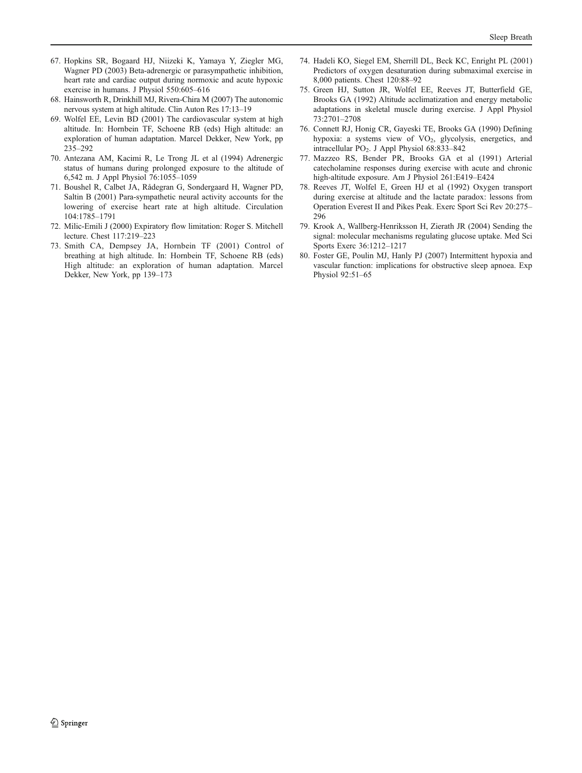- <span id="page-11-0"></span>67. Hopkins SR, Bogaard HJ, Niizeki K, Yamaya Y, Ziegler MG, Wagner PD (2003) Beta-adrenergic or parasympathetic inhibition, heart rate and cardiac output during normoxic and acute hypoxic exercise in humans. J Physiol 550:605–616
- 68. Hainsworth R, Drinkhill MJ, Rivera-Chira M (2007) The autonomic nervous system at high altitude. Clin Auton Res 17:13–19
- 69. Wolfel EE, Levin BD (2001) The cardiovascular system at high altitude. In: Hornbein TF, Schoene RB (eds) High altitude: an exploration of human adaptation. Marcel Dekker, New York, pp 235–292
- 70. Antezana AM, Kacimi R, Le Trong JL et al (1994) Adrenergic status of humans during prolonged exposure to the altitude of 6,542 m. J Appl Physiol 76:1055–1059
- 71. Boushel R, Calbet JA, Rådegran G, Sondergaard H, Wagner PD, Saltin B (2001) Para-sympathetic neural activity accounts for the lowering of exercise heart rate at high altitude. Circulation 104:1785–1791
- 72. Milic-Emili J (2000) Expiratory flow limitation: Roger S. Mitchell lecture. Chest 117:219–223
- 73. Smith CA, Dempsey JA, Hornbein TF (2001) Control of breathing at high altitude. In: Hornbein TF, Schoene RB (eds) High altitude: an exploration of human adaptation. Marcel Dekker, New York, pp 139–173
- 74. Hadeli KO, Siegel EM, Sherrill DL, Beck KC, Enright PL (2001) Predictors of oxygen desaturation during submaximal exercise in 8,000 patients. Chest 120:88–92
- 75. Green HJ, Sutton JR, Wolfel EE, Reeves JT, Butterfield GE, Brooks GA (1992) Altitude acclimatization and energy metabolic adaptations in skeletal muscle during exercise. J Appl Physiol 73:2701–2708
- 76. Connett RJ, Honig CR, Gayeski TE, Brooks GA (1990) Defining hypoxia: a systems view of  $VO<sub>2</sub>$ , glycolysis, energetics, and intracellular PO<sub>2</sub>. J Appl Physiol 68:833-842
- 77. Mazzeo RS, Bender PR, Brooks GA et al (1991) Arterial catecholamine responses during exercise with acute and chronic high-altitude exposure. Am J Physiol 261:E419–E424
- 78. Reeves JT, Wolfel E, Green HJ et al (1992) Oxygen transport during exercise at altitude and the lactate paradox: lessons from Operation Everest II and Pikes Peak. Exerc Sport Sci Rev 20:275– 296
- 79. Krook A, Wallberg-Henriksson H, Zierath JR (2004) Sending the signal: molecular mechanisms regulating glucose uptake. Med Sci Sports Exerc 36:1212–1217
- 80. Foster GE, Poulin MJ, Hanly PJ (2007) Intermittent hypoxia and vascular function: implications for obstructive sleep apnoea. Exp Physiol 92:51–65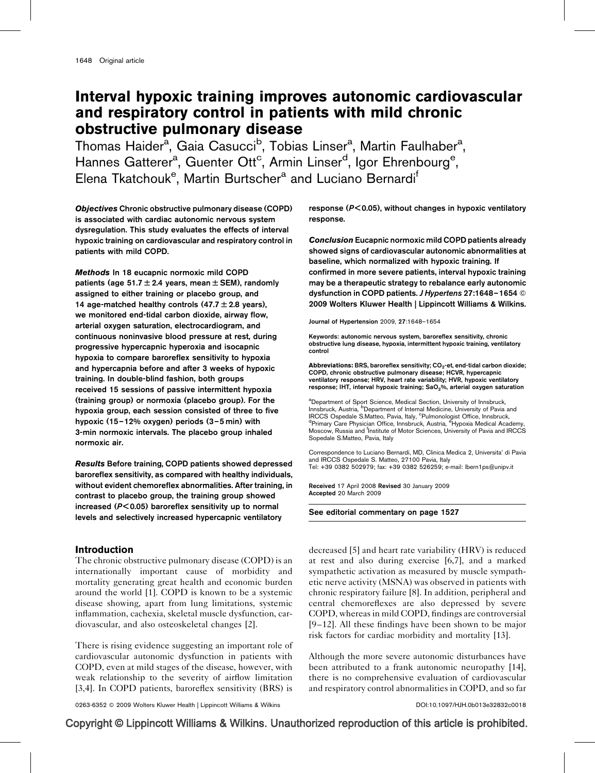# Interval hypoxic training improves autonomic cardiovascular and respiratory control in patients with mild chronic obstructive pulmonary disease

Thomas Haider<sup>a</sup>, Gaia Casucci<sup>b</sup>, Tobias Linser<sup>a</sup>, Martin Faulhaber<sup>a</sup>, Hannes Gatterer<sup>a</sup>, Guenter Ott<sup>c</sup>, Armin Linser<sup>d</sup>, Igor Ehrenbourg<sup>e</sup>, Elena Tkatchouk<sup>e</sup>, Martin Burtscher<sup>a</sup> and Luciano Bernardi<sup>f</sup>

Objectives Chronic obstructive pulmonary disease (COPD) is associated with cardiac autonomic nervous system dysregulation. This study evaluates the effects of interval hypoxic training on cardiovascular and respiratory control in patients with mild COPD.

Methods In 18 eucapnic normoxic mild COPD patients (age 51.7  $\pm$  2.4 years, mean  $\pm$  SEM), randomly assigned to either training or placebo group, and 14 age-matched healthy controls  $(47.7 \pm 2.8 \text{ years})$ , we monitored end-tidal carbon dioxide, airway flow, arterial oxygen saturation, electrocardiogram, and continuous noninvasive blood pressure at rest, during progressive hypercapnic hyperoxia and isocapnic hypoxia to compare baroreflex sensitivity to hypoxia and hypercapnia before and after 3 weeks of hypoxic training. In double-blind fashion, both groups received 15 sessions of passive intermittent hypoxia (training group) or normoxia (placebo group). For the hypoxia group, each session consisted of three to five hypoxic (15–12% oxygen) periods (3–5 min) with 3-min normoxic intervals. The placebo group inhaled normoxic air.

Results Before training, COPD patients showed depressed baroreflex sensitivity, as compared with healthy individuals, without evident chemoreflex abnormalities. After training, in contrast to placebo group, the training group showed increased (P< 0.05) baroreflex sensitivity up to normal levels and selectively increased hypercapnic ventilatory

Introduction

The chronic obstructive pulmonary disease (COPD) is an internationally important cause of morbidity and mortality generating great health and economic burden around the world [\[1\]](#page-18-0). COPD is known to be a systemic disease showing, apart from lung limitations, systemic inflammation, cachexia, skeletal muscle dysfunction, cardiovascular, and also osteoskeletal changes [\[2\]](#page-18-0).

There is rising evidence suggesting an important role of cardiovascular autonomic dysfunction in patients with COPD, even at mild stages of the disease, however, with weak relationship to the severity of airflow limitation [\[3,4\].](#page-18-0) In COPD patients, baroreflex sensitivity (BRS) is response (P< 0.05), without changes in hypoxic ventilatory response.

Conclusion Eucapnic normoxic mild COPD patients already showed signs of cardiovascular autonomic abnormalities at baseline, which normalized with hypoxic training. If confirmed in more severe patients, interval hypoxic training may be a therapeutic strategy to rebalance early autonomic dysfunction in COPD patients. J Hypertens 27:1648-1654 © 2009 Wolters Kluwer Health | Lippincott Williams & Wilkins.

Journal of Hypertension 2009, 27:1648–1654

Keywords: autonomic nervous system, baroreflex sensitivity, chronic obstructive lung disease, hypoxia, intermittent hypoxic training, ventilatory control

Abbreviations: BRS, baroreflex sensitivity;  $CO_2$ -et, end-tidal carbon dioxide; COPD, chronic obstructive pulmonary disease; HCVR, hypercapnic ventilatory response; HRV, heart rate variability; HVR, hypoxic ventilatory response; IHT, interval hypoxic training;  $\texttt{SaO}_2\%$ , arterial oxygen saturation

<sup>a</sup>Department of Sport Science, Medical Section, University of Innsbruck,<br>Innsbruck, Austria, <sup>b</sup>Department of Internal Medicine, University of Pavia and **IRCCS Ospedale S.Matteo, Pavia, Italy, <sup>c</sup>Pulmonologist Office, Innsbruck,** *Revinement Care Physician Office***, Innsbruck,** *Austria***, <sup>e</sup>Hypovia Modical Accept** Primary Care Physician Office, Innsbruck, Austria, <sup>e</sup>Hypoxia Medical Academy, Moscow, Russia and <sup>f</sup>institute of Motor Sciences, University of Pavia and IRCCS Sopedale S.Matteo, Pavia, Italy

Correspondence to Luciano Bernardi, MD, Clinica Medica 2, Universita' di Pavia and IRCCS Ospedale S. Matteo, 27100 Pavia, Italy Tel: +39 0382 502979; fax: +39 0382 526259; e-mail: [lbern1ps@unipv.it](mailto:lbern1ps@unipv.it)

Received 17 April 2008 Revised 30 January 2009 Accepted 20 March 2009

See editorial commentary on page 1527

decreased [\[5\]](#page-18-0) and heart rate variability (HRV) is reduced at rest and also during exercise [\[6,7\]](#page-18-0), and a marked sympathetic activation as measured by muscle sympathetic nerve activity (MSNA) was observed in patients with chronic respiratory failure [\[8\].](#page-18-0) In addition, peripheral and central chemoreflexes are also depressed by severe COPD, whereas in mild COPD, findings are controversial [\[9–12\]](#page-18-0). All these findings have been shown to be major risk factors for cardiac morbidity and mortality [\[13\].](#page-18-0)

Although the more severe autonomic disturbances have been attributed to a frank autonomic neuropathy [\[14\]](#page-18-0), there is no comprehensive evaluation of cardiovascular and respiratory control abnormalities in COPD, and so far

0263-6352 © 2009 Wolters Kluwer Health | Lippincott Williams & Wilkins DOI:[10.1097/HJH.0b013e32832c0018](http://dx.doi.org/10.1097/HJH.0b013e32832c0018)

Copyright © Lippincott Williams & Wilkins. Unauthorized reproduction of this article is prohibited.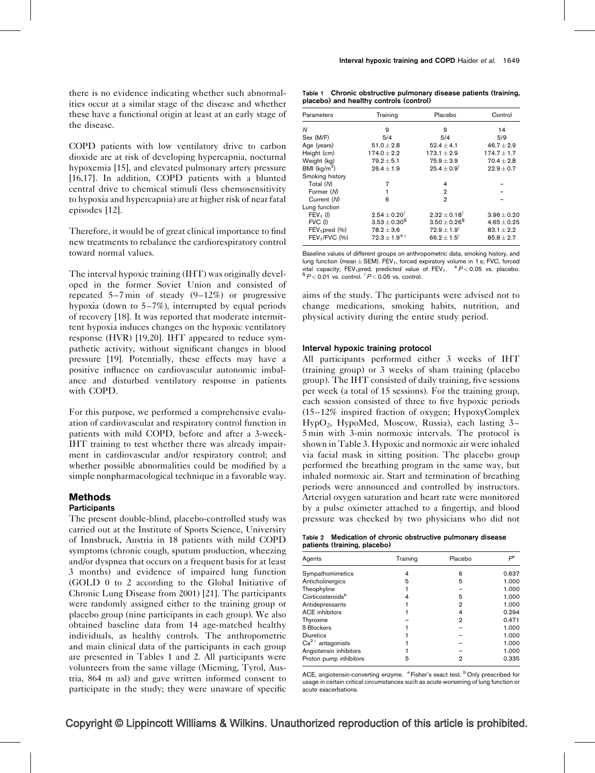<span id="page-13-0"></span>there is no evidence indicating whether such abnormalities occur at a similar stage of the disease and whether these have a functional origin at least at an early stage of the disease.

COPD patients with low ventilatory drive to carbon dioxide are at risk of developing hypercapnia, nocturnal hypoxemia [\[15\],](#page-18-0) and elevated pulmonary artery pressure [\[16,17\].](#page-18-0) In addition, COPD patients with a blunted central drive to chemical stimuli (less chemosensitivity to hypoxia and hypercapnia) are at higher risk of near fatal episodes [\[12\]](#page-18-0).

Therefore, it would be of great clinical importance to find new treatments to rebalance the cardiorespiratory control toward normal values.

The interval hypoxic training (IHT) was originally developed in the former Soviet Union and consisted of repeated 5–7 min of steady (9–12%) or progressive hypoxia (down to 5–7%), interrupted by equal periods of recovery [\[18\].](#page-18-0) It was reported that moderate intermittent hypoxia induces changes on the hypoxic ventilatory response (HVR) [\[19,20\].](#page-18-0) IHT appeared to reduce sympathetic activity, without significant changes in blood pressure [\[19\].](#page-18-0) Potentially, these effects may have a positive influence on cardiovascular autonomic imbalance and disturbed ventilatory response in patients with COPD.

For this purpose, we performed a comprehensive evaluation of cardiovascular and respiratory control function in patients with mild COPD, before and after a 3-week-IHT training to test whether there was already impairment in cardiovascular and/or respiratory control; and whether possible abnormalities could be modified by a simple nonpharmacological technique in a favorable way.

### Methods

#### **Participants**

The present double-blind, placebo-controlled study was carried out at the Institute of Sports Science, University of Innsbruck, Austria in 18 patients with mild COPD symptoms (chronic cough, sputum production, wheezing and/or dyspnea that occurs on a frequent basis for at least 3 months) and evidence of impaired lung function (GOLD 0 to 2 according to the Global Initiative of Chronic Lung Disease from 2001) [\[21\]](#page-18-0). The participants were randomly assigned either to the training group or placebo group (nine participants in each group). We also obtained baseline data from 14 age-matched healthy individuals, as healthy controls. The anthropometric and main clinical data of the participants in each group are presented in Tables 1 and 2. All participants were volunteers from the same village (Mieming, Tyrol, Austria, 864 m asl) and gave written informed consent to participate in the study; they were unaware of specific

| Table 1 Chronic obstructive pulmonary disease patients (training, |  |
|-------------------------------------------------------------------|--|
| placebo) and healthy controls (control)                           |  |

| Training                    | Placebo                    | Control         |
|-----------------------------|----------------------------|-----------------|
| 9                           | 9                          | 14              |
| 5/4                         | 5/4                        | 5/9             |
| $51.0 \pm 2.8$              | $52.4 + 4.1$               | $46.7 + 2.9$    |
| $174.0 \pm 2.2$             | $173.1 \pm 2.9$            | $174.7 \pm 1.7$ |
| $79.2 \pm 5.1$              | $75.9 \pm 3.9$             | $70.4 \pm 2.8$  |
| $26.4 \pm 1.9$              | $25.4 + 0.9^{\dagger}$     | $22.9 \pm 0.7$  |
|                             |                            |                 |
| 7                           | 4                          |                 |
| 1                           | $\mathbf{2}$               |                 |
| 6                           | 2                          |                 |
|                             |                            |                 |
| $2.54 \pm 0.20^{\dagger}$   | $2.32 + 0.18$ <sup>†</sup> | $3.96 + 0.20$   |
| $3.53 \pm 0.30^5$           | $3.50 + 0.26$ <sup>§</sup> | $4.65 \pm 0.25$ |
| $78.2 \pm 3.6$              | $72.9 + 1.9$ <sup>t</sup>  | $83.1 \pm 2.2$  |
| $72.3 + 1.9$ <sup>*,†</sup> | $66.2 + 1.5^{\dagger}$     | $85.8 \pm 2.7$  |
|                             |                            |                 |

Baseline values of different groups on anthropometric data, smoking history, and lung function (mean $\pm$ SEM). FEV<sub>1</sub>, forced expiratory volume in 1 s; FVC, forced vital capacity; FEV<sub>1</sub>pred, predicted value of FEV<sub>1</sub>. \*  $P < 0.05$  vs. placebo.  ${}^{6}P<$  0.01 vs. control.  ${}^{ \dagger}P<$  0.05 vs. control.

aims of the study. The participants were advised not to change medications, smoking habits, nutrition, and physical activity during the entire study period.

#### Interval hypoxic training protocol

All participants performed either 3 weeks of IHT (training group) or 3 weeks of sham training (placebo group). The IHT consisted of daily training, five sessions per week (a total of 15 sessions). For the training group, each session consisted of three to five hypoxic periods (15–12% inspired fraction of oxygen; HypoxyComplex HypO2, HypoMed, Moscow, Russia), each lasting 3– 5 min with 3-min normoxic intervals. The protocol is shown in [Table 3](#page-14-0). Hypoxic and normoxic air were inhaled via facial mask in sitting position. The placebo group performed the breathing program in the same way, but inhaled normoxic air. Start and termination of breathing periods were announced and controlled by instructors. Arterial oxygen saturation and heart rate were monitored by a pulse oximeter attached to a fingertip, and blood pressure was checked by two physicians who did not

|                              | Table 2 Medication of chronic obstructive pulmonary disease |
|------------------------------|-------------------------------------------------------------|
| patients (training, placebo) |                                                             |

| Agents                       | Training | Placebo | $P^{\rm a}$ |
|------------------------------|----------|---------|-------------|
| Sympathomimetics             |          | 6       | 0.637       |
| Anticholinergics             | 5        | 5       | 1.000       |
| Theophyline                  |          |         | 1.000       |
| Corticosteroids <sup>b</sup> |          | 5       | 1.000       |
| Antidepressants              |          | 2       | 1.000       |
| <b>ACE</b> inhibitors        |          | 4       | 0.294       |
| Thyroxine                    |          | 2       | 0.471       |
| <b>B-Blockers</b>            |          |         | 1.000       |
| <b>Diuretics</b>             |          |         | 1.000       |
| $Ca2+$ antagonists           |          |         | 1.000       |
| Angiotensin inhibitors       |          |         | 1.000       |
| Proton pump inhibitors       | 5        | 2       | 0.335       |

ACE, angiotensin-converting enzyme. <sup>a</sup> Fisher's exact test. <sup>b</sup> Only prescribed for usage in certain critical circumstances such as acute worsening of lung function or acute exacerbations.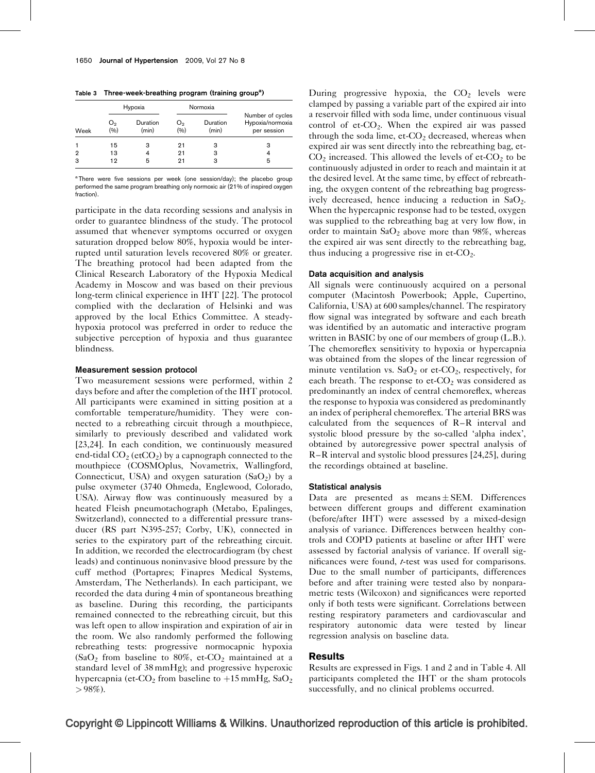<span id="page-14-0"></span>Table 3 Three-week-breathing program (training group<sup>a</sup>)

|      |                         | Hypoxia           |                         | Normoxia          |                                                     |
|------|-------------------------|-------------------|-------------------------|-------------------|-----------------------------------------------------|
| Week | O <sub>2</sub><br>(9/0) | Duration<br>(min) | O <sub>2</sub><br>(9/0) | Duration<br>(min) | Number of cycles<br>Hypoxia/normoxia<br>per session |
|      | 15                      | з                 | 21                      | з                 | з                                                   |
| 2    | 13                      |                   | 21                      | з                 |                                                     |
| 3    | 12                      | 5                 | 21                      | 3                 | 5                                                   |

<sup>a</sup> There were five sessions per week (one session/day); the placebo group performed the same program breathing only normoxic air (21% of inspired oxygen fraction).

participate in the data recording sessions and analysis in order to guarantee blindness of the study. The protocol assumed that whenever symptoms occurred or oxygen saturation dropped below 80%, hypoxia would be interrupted until saturation levels recovered 80% or greater. The breathing protocol had been adapted from the Clinical Research Laboratory of the Hypoxia Medical Academy in Moscow and was based on their previous long-term clinical experience in IHT [\[22\].](#page-18-0) The protocol complied with the declaration of Helsinki and was approved by the local Ethics Committee. A steadyhypoxia protocol was preferred in order to reduce the subjective perception of hypoxia and thus guarantee blindness.

#### Measurement session protocol

Two measurement sessions were performed, within 2 days before and after the completion of the IHT protocol. All participants were examined in sitting position at a comfortable temperature/humidity. They were connected to a rebreathing circuit through a mouthpiece, similarly to previously described and validated work [\[23,24\].](#page-18-0) In each condition, we continuously measured end-tidal  $CO_2$  (etCO<sub>2</sub>) by a capnograph connected to the mouthpiece (COSMOplus, Novametrix, Wallingford, Connecticut, USA) and oxygen saturation  $(SaO<sub>2</sub>)$  by a pulse oxymeter (3740 Ohmeda, Englewood, Colorado, USA). Airway flow was continuously measured by a heated Fleish pneumotachograph (Metabo, Epalinges, Switzerland), connected to a differential pressure transducer (RS part N395-257; Corby, UK), connected in series to the expiratory part of the rebreathing circuit. In addition, we recorded the electrocardiogram (by chest leads) and continuous noninvasive blood pressure by the cuff method (Portapres; Finapres Medical Systems, Amsterdam, The Netherlands). In each participant, we recorded the data during 4 min of spontaneous breathing as baseline. During this recording, the participants remained connected to the rebreathing circuit, but this was left open to allow inspiration and expiration of air in the room. We also randomly performed the following rebreathing tests: progressive normocapnic hypoxia  $(SaO<sub>2</sub>$  from baseline to 80%, et-CO<sub>2</sub> maintained at a standard level of 38 mmHg); and progressive hyperoxic hypercapnia (et-CO<sub>2</sub> from baseline to  $+15$  mmHg, SaO<sub>2</sub>  $> 98\%$ ).

During progressive hypoxia, the  $CO<sub>2</sub>$  levels were clamped by passing a variable part of the expired air into a reservoir filled with soda lime, under continuous visual control of  $et$ - $CO<sub>2</sub>$ . When the expired air was passed through the soda lime,  $et$ - $CO<sub>2</sub>$  decreased, whereas when expired air was sent directly into the rebreathing bag, et- $CO<sub>2</sub>$  increased. This allowed the levels of et- $CO<sub>2</sub>$  to be continuously adjusted in order to reach and maintain it at the desired level. At the same time, by effect of rebreathing, the oxygen content of the rebreathing bag progressively decreased, hence inducing a reduction in  $SaO<sub>2</sub>$ . When the hypercapnic response had to be tested, oxygen was supplied to the rebreathing bag at very low flow, in order to maintain  $SaO<sub>2</sub>$  above more than 98%, whereas the expired air was sent directly to the rebreathing bag, thus inducing a progressive rise in  $et$ - $CO<sub>2</sub>$ .

#### Data acquisition and analysis

All signals were continuously acquired on a personal computer (Macintosh Powerbook; Apple, Cupertino, California, USA) at 600 samples/channel. The respiratory flow signal was integrated by software and each breath was identified by an automatic and interactive program written in BASIC by one of our members of group (L.B.). The chemoreflex sensitivity to hypoxia or hypercapnia was obtained from the slopes of the linear regression of minute ventilation vs.  $SaO<sub>2</sub>$  or et-CO<sub>2</sub>, respectively, for each breath. The response to  $et$ - $CO<sub>2</sub>$  was considered as predominantly an index of central chemoreflex, whereas the response to hypoxia was considered as predominantly an index of peripheral chemoreflex. The arterial BRS was calculated from the sequences of R–R interval and systolic blood pressure by the so-called 'alpha index', obtained by autoregressive power spectral analysis of R–R interval and systolic blood pressures [\[24,25\]](#page-18-0), during the recordings obtained at baseline.

#### Statistical analysis

Data are presented as means  $\pm$  SEM. Differences between different groups and different examination (before/after IHT) were assessed by a mixed-design analysis of variance. Differences between healthy controls and COPD patients at baseline or after IHT were assessed by factorial analysis of variance. If overall significances were found, t-test was used for comparisons. Due to the small number of participants, differences before and after training were tested also by nonparametric tests (Wilcoxon) and significances were reported only if both tests were significant. Correlations between resting respiratory parameters and cardiovascular and respiratory autonomic data were tested by linear regression analysis on baseline data.

#### Results

Results are expressed in [Figs. 1 and 2](#page-15-0) and in [Table 4.](#page-15-0) All participants completed the IHT or the sham protocols successfully, and no clinical problems occurred.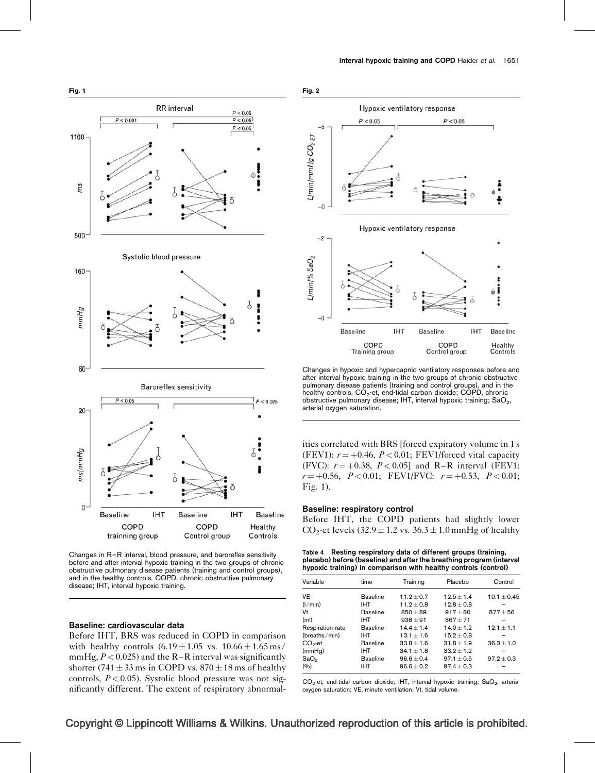<span id="page-15-0"></span>

Changes in R–R interval, blood pressure, and baroreflex sensitivity before and after interval hypoxic training in the two groups of chronic obstructive pulmonary disease patients (training and control groups), and in the healthy controls. COPD, chronic obstructive pulmonary disease; IHT, interval hypoxic training.

## Baseline: cardiovascular data

Before IHT, BRS was reduced in COPD in comparison with healthy controls  $(6.19 \pm 1.05 \text{ vs. } 10.66 \pm 1.65 \text{ ms})$ mmHg,  $P < 0.025$ ) and the R–R interval was significantly shorter (741  $\pm$  33 ms in COPD vs. 870  $\pm$  18 ms of healthy controls,  $P < 0.05$ ). Systolic blood pressure was not significantly different. The extent of respiratory abnormal-



Changes in hypoxic and hypercapnic ventilatory responses before and after interval hypoxic training in the two groups of chronic obstructive pulmonary disease patients (training and control groups), and in the healthy controls.  $CO<sub>2</sub>$ -et, end-tidal carbon dioxide; COPD, chronic obstructive pulmonary disease; IHT, interval hypoxic training; SaO<sub>2</sub>, arterial oxygen saturation.

ities correlated with BRS [forced expiratory volume in 1 s (FEV1):  $r = +0.46$ ,  $P < 0.01$ ; FEV1/forced vital capacity (FVC):  $r = +0.38$ ,  $P < 0.05$ ] and R–R interval (FEV1:  $r = +0.56$ ,  $P < 0.01$ ; FEV1/FVC:  $r = +0.53$ ,  $P < 0.01$ ; Fig. 1).

#### Baseline: respiratory control

Before IHT, the COPD patients had slightly lower  $\rm CO_2$ -et levels (32.9  $\pm$  1.2 vs. 36.3  $\pm$  1.0 mmHg of healthy

Table 4 Resting respiratory data of different groups (training, placebo) before (baseline) and after the breathing program (interval hypoxic training) in comparison with healthy controls (control)

| Variable          | time            | Training     | Placebo        | Control         |
|-------------------|-----------------|--------------|----------------|-----------------|
| <b>VE</b>         | Baseline        | $11.2 + 0.7$ | $12.5 + 1.4$   | $10.1 \pm 0.45$ |
| (1/min)           | IHT             | $11.2 + 0.8$ | $12.8 + 0.8$   |                 |
| Vt                | Baseline        | $850 + 89$   | $917 + 80$     | $877 + 56$      |
| (m <sub>l</sub> ) | IHT             | $938 + 91$   | $867 + 71$     |                 |
| Respiration rate  | <b>Baseline</b> | $14.4 + 1.4$ | $14.0 + 1.2$   | $12.1 \pm 1.1$  |
| (breaths/min)     | IHT             | $13.1 + 1.6$ | $15.2 + 0.8$   |                 |
| $CO2$ -et         | <b>Baseline</b> | $33.8 + 1.6$ | $31.8 + 1.9$   | $36.3 + 1.0$    |
| (mmHq)            | IHT             | $34.1 + 1.8$ | $33.2 \pm 1.2$ |                 |
| SaO <sub>2</sub>  | <b>Baseline</b> | $96.6 + 0.4$ | $97.1 + 0.5$   | $97.2 \pm 0.3$  |
| (9/0)             | <b>IHT</b>      | $96.6 + 0.2$ | $97.4 + 0.3$   |                 |

 $CO_2$ -et, end-tidal carbon dioxide; IHT, interval hypoxic training;  $SaO_2$ , arterial oxygen saturation; VE, minute ventilation; Vt, tidal volume.

# Copyright © Lippincott Williams & Wilkins. Unauthorized reproduction of this article is prohibited.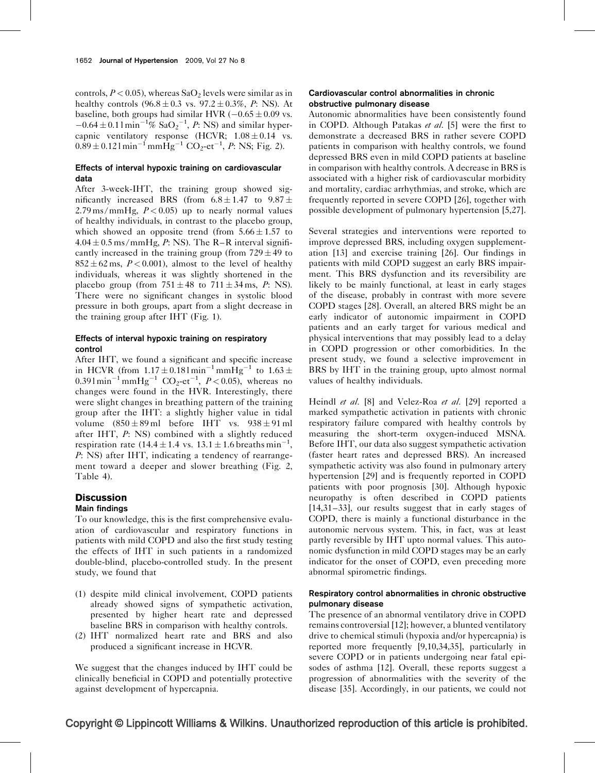controls,  $P < 0.05$ ), whereas SaO<sub>2</sub> levels were similar as in healthy controls  $(96.8 \pm 0.3 \text{ vs. } 97.2 \pm 0.3\%, P: \text{ NS})$ . At baseline, both groups had similar HVR  $(-0.65 \pm 0.09 \text{ vs.})$  $-0.64 \pm 0.11$  min<sup>-1</sup>% SaO<sub>2</sub><sup>-1</sup>, *P*: NS) and similar hypercapnic ventilatory response (HCVR;  $1.08 \pm 0.14$  vs.  $0.89 \pm 0.121$  min<sup>-1</sup> mmHg<sup>-1</sup> CO<sub>2</sub>-et<sup>-1</sup>, *P*: NS; [Fig. 2\)](#page-15-0).

# Effects of interval hypoxic training on cardiovascular data

After 3-week-IHT, the training group showed significantly increased BRS (from  $6.8 \pm 1.47$  to  $9.87 \pm$  $2.79 \text{ ms/mmHg}$ ,  $P < 0.05$ ) up to nearly normal values of healthy individuals, in contrast to the placebo group, which showed an opposite trend (from  $5.66 \pm 1.57$  to  $4.04 \pm 0.5$  ms/mmHg, P: NS). The R-R interval significantly increased in the training group (from  $729 \pm 49$  to  $852 \pm 62$  ms,  $P < 0.001$ ), almost to the level of healthy individuals, whereas it was slightly shortened in the placebo group (from  $751 \pm 48$  to  $711 \pm 34$  ms, P: NS). There were no significant changes in systolic blood pressure in both groups, apart from a slight decrease in the training group after IHT [\(Fig. 1](#page-15-0)).

## Effects of interval hypoxic training on respiratory control

After IHT, we found a significant and specific increase in HCVR (from  $1.17 \pm 0.181$  min<sup>-1</sup> mmHg<sup>-1</sup> to  $1.63 \pm$  $0.391 \text{min}^{-1} \text{mmHg}^{-1}$  CO<sub>2</sub>-et<sup>-1</sup>,  $P < 0.05$ ), whereas no changes were found in the HVR. Interestingly, there were slight changes in breathing pattern of the training group after the IHT: a slightly higher value in tidal volume  $(850 \pm 89 \,\text{ml}$  before IHT vs.  $938 \pm 91 \,\text{ml}$ after IHT, P: NS) combined with a slightly reduced respiration rate  $(14.4 \pm 1.4 \text{ vs. } 13.1 \pm 1.6 \text{ breaths min}^{-1})$ , P: NS) after IHT, indicating a tendency of rearrangement toward a deeper and slower breathing ([Fig. 2](#page-15-0), [Table 4\)](#page-15-0).

# **Discussion**

## Main findings

To our knowledge, this is the first comprehensive evaluation of cardiovascular and respiratory functions in patients with mild COPD and also the first study testing the effects of IHT in such patients in a randomized double-blind, placebo-controlled study. In the present study, we found that

- (1) despite mild clinical involvement, COPD patients already showed signs of sympathetic activation, presented by higher heart rate and depressed baseline BRS in comparison with healthy controls.
- (2) IHT normalized heart rate and BRS and also produced a significant increase in HCVR.

We suggest that the changes induced by IHT could be clinically beneficial in COPD and potentially protective against development of hypercapnia.

# Cardiovascular control abnormalities in chronic obstructive pulmonary disease

Autonomic abnormalities have been consistently found in COPD. Although Patakas et al. [\[5\]](#page-18-0) were the first to demonstrate a decreased BRS in rather severe COPD patients in comparison with healthy controls, we found depressed BRS even in mild COPD patients at baseline in comparison with healthy controls. A decrease in BRS is associated with a higher risk of cardiovascular morbidity and mortality, cardiac arrhythmias, and stroke, which are frequently reported in severe COPD [\[26\]](#page-18-0), together with possible development of pulmonary hypertension [\[5,27\]](#page-18-0).

Several strategies and interventions were reported to improve depressed BRS, including oxygen supplementation [\[13\]](#page-18-0) and exercise training [\[26\]](#page-18-0). Our findings in patients with mild COPD suggest an early BRS impairment. This BRS dysfunction and its reversibility are likely to be mainly functional, at least in early stages of the disease, probably in contrast with more severe COPD stages [\[28\]](#page-18-0). Overall, an altered BRS might be an early indicator of autonomic impairment in COPD patients and an early target for various medical and physical interventions that may possibly lead to a delay in COPD progression or other comorbidities. In the present study, we found a selective improvement in BRS by IHT in the training group, upto almost normal values of healthy individuals.

Heindl et al. [\[8\]](#page-18-0) and Velez-Roa et al. [\[29\]](#page-18-0) reported a marked sympathetic activation in patients with chronic respiratory failure compared with healthy controls by measuring the short-term oxygen-induced MSNA. Before IHT, our data also suggest sympathetic activation (faster heart rates and depressed BRS). An increased sympathetic activity was also found in pulmonary artery hypertension [\[29\]](#page-18-0) and is frequently reported in COPD patients with poor prognosis [\[30\].](#page-18-0) Although hypoxic neuropathy is often described in COPD patients [\[14,31–33\],](#page-18-0) our results suggest that in early stages of COPD, there is mainly a functional disturbance in the autonomic nervous system. This, in fact, was at least partly reversible by IHT upto normal values. This autonomic dysfunction in mild COPD stages may be an early indicator for the onset of COPD, even preceding more abnormal spirometric findings.

## Respiratory control abnormalities in chronic obstructive pulmonary disease

The presence of an abnormal ventilatory drive in COPD remains controversial [\[12\]](#page-18-0); however, a blunted ventilatory drive to chemical stimuli (hypoxia and/or hypercapnia) is reported more frequently [\[9,10,34,35\],](#page-18-0) particularly in severe COPD or in patients undergoing near fatal episodes of asthma [\[12\].](#page-18-0) Overall, these reports suggest a progression of abnormalities with the severity of the disease [\[35\].](#page-18-0) Accordingly, in our patients, we could not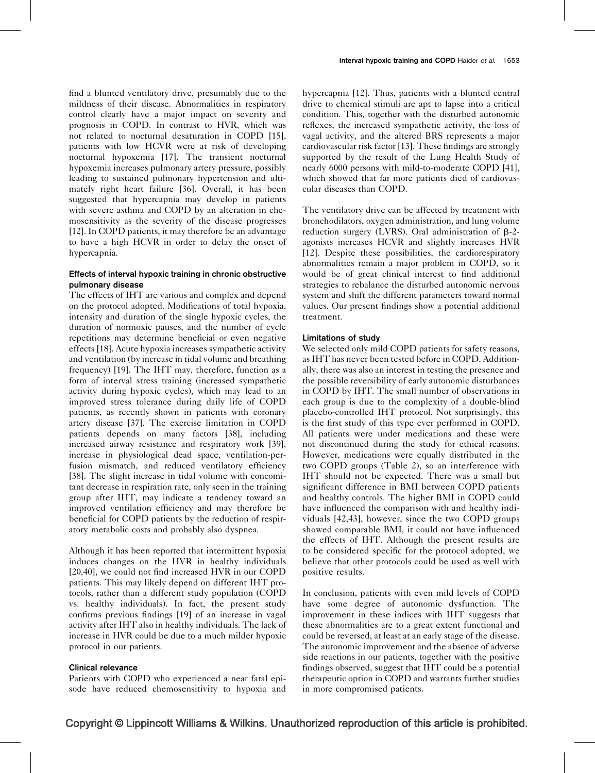find a blunted ventilatory drive, presumably due to the mildness of their disease. Abnormalities in respiratory control clearly have a major impact on severity and prognosis in COPD. In contrast to HVR, which was not related to nocturnal desaturation in COPD [\[15\]](#page-18-0), patients with low HCVR were at risk of developing nocturnal hypoxemia [\[17\]](#page-18-0). The transient nocturnal hypoxemia increases pulmonary artery pressure, possibly leading to sustained pulmonary hypertension and ultimately right heart failure [\[36\].](#page-18-0) Overall, it has been suggested that hypercapnia may develop in patients with severe asthma and COPD by an alteration in chemosensitivity as the severity of the disease progresses [\[12\]](#page-18-0). In COPD patients, it may therefore be an advantage to have a high HCVR in order to delay the onset of hypercapnia.

## Effects of interval hypoxic training in chronic obstructive pulmonary disease

The effects of IHT are various and complex and depend on the protocol adopted. Modifications of total hypoxia, intensity and duration of the single hypoxic cycles, the duration of normoxic pauses, and the number of cycle repetitions may determine beneficial or even negative effects [\[18\].](#page-18-0) Acute hypoxia increases sympathetic activity and ventilation (by increase in tidal volume and breathing frequency) [\[19\].](#page-18-0) The IHT may, therefore, function as a form of interval stress training (increased sympathetic activity during hypoxic cycles), which may lead to an improved stress tolerance during daily life of COPD patients, as recently shown in patients with coronary artery disease [\[37\].](#page-18-0) The exercise limitation in COPD patients depends on many factors [\[38\]](#page-18-0), including increased airway resistance and respiratory work [\[39\]](#page-18-0), increase in physiological dead space, ventilation-perfusion mismatch, and reduced ventilatory efficiency [\[38\]](#page-18-0). The slight increase in tidal volume with concomitant decrease in respiration rate, only seen in the training group after IHT, may indicate a tendency toward an improved ventilation efficiency and may therefore be beneficial for COPD patients by the reduction of respiratory metabolic costs and probably also dyspnea.

Although it has been reported that intermittent hypoxia induces changes on the HVR in healthy individuals [\[20,40\],](#page-18-0) we could not find increased HVR in our COPD patients. This may likely depend on different IHT protocols, rather than a different study population (COPD vs. healthy individuals). In fact, the present study confirms previous findings [\[19\]](#page-18-0) of an increase in vagal activity after IHT also in healthy individuals. The lack of increase in HVR could be due to a much milder hypoxic protocol in our patients.

#### Clinical relevance

Patients with COPD who experienced a near fatal episode have reduced chemosensitivity to hypoxia and hypercapnia [\[12\]](#page-18-0). Thus, patients with a blunted central drive to chemical stimuli are apt to lapse into a critical condition. This, together with the disturbed autonomic reflexes, the increased sympathetic activity, the loss of vagal activity, and the altered BRS represents a major cardiovascular risk factor [\[13\]](#page-18-0). These findings are strongly supported by the result of the Lung Health Study of nearly 6000 persons with mild-to-moderate COPD [\[41\]](#page-18-0), which showed that far more patients died of cardiovascular diseases than COPD.

The ventilatory drive can be affected by treatment with bronchodilators, oxygen administration, and lung volume reduction surgery (LVRS). Oral administration of  $\beta$ -2agonists increases HCVR and slightly increases HVR [\[12\]](#page-18-0). Despite these possibilities, the cardiorespiratory abnormalities remain a major problem in COPD, so it would be of great clinical interest to find additional strategies to rebalance the disturbed autonomic nervous system and shift the different parameters toward normal values. Our present findings show a potential additional treatment.

#### Limitations of study

We selected only mild COPD patients for safety reasons, as IHT has never been tested before in COPD. Additionally, there was also an interest in testing the presence and the possible reversibility of early autonomic disturbances in COPD by IHT. The small number of observations in each group is due to the complexity of a double-blind placebo-controlled IHT protocol. Not surprisingly, this is the first study of this type ever performed in COPD. All patients were under medications and these were not discontinued during the study for ethical reasons. However, medications were equally distributed in the two COPD groups ([Table 2](#page-13-0)), so an interference with IHT should not be expected. There was a small but significant difference in BMI between COPD patients and healthy controls. The higher BMI in COPD could have influenced the comparison with and healthy individuals [\[42,43\]](#page-18-0), however, since the two COPD groups showed comparable BMI, it could not have influenced the effects of IHT. Although the present results are to be considered specific for the protocol adopted, we believe that other protocols could be used as well with positive results.

In conclusion, patients with even mild levels of COPD have some degree of autonomic dysfunction. The improvement in these indices with IHT suggests that these abnormalities are to a great extent functional and could be reversed, at least at an early stage of the disease. The autonomic improvement and the absence of adverse side reactions in our patients, together with the positive findings observed, suggest that IHT could be a potential therapeutic option in COPD and warrants further studies in more compromised patients.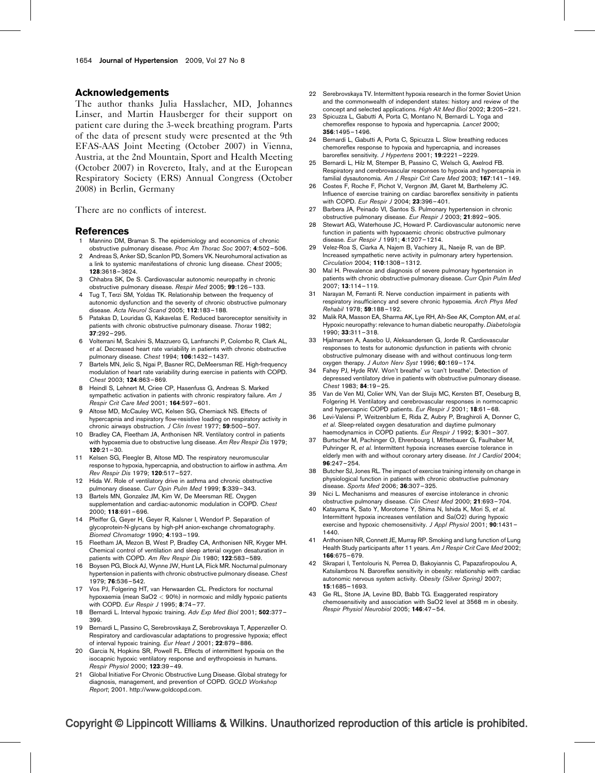#### <span id="page-18-0"></span>Acknowledgements

The author thanks Julia Hasslacher, MD, Johannes Linser, and Martin Hausberger for their support on patient care during the 3-week breathing program. Parts of the data of present study were presented at the 9th EFAS-AAS Joint Meeting (October 2007) in Vienna, Austria, at the 2nd Mountain, Sport and Health Meeting (October 2007) in Rovereto, Italy, and at the European Respiratory Society (ERS) Annual Congress (October 2008) in Berlin, Germany

There are no conflicts of interest.

## References

- Mannino DM, Braman S. The epidemiology and economics of chronic obstructive pulmonary disease. Proc Am Thorac Soc 2007; 4:502–506.
- 2 Andreas S, Anker SD, Scanlon PD, Somers VK. Neurohumoral activation as a link to systemic manifestations of chronic lung disease. Chest 2005; 128:3618–3624.
- 3 Chhabra SK, De S. Cardiovascular autonomic neuropathy in chronic obstructive pulmonary disease. Respir Med 2005; 99:126–133.
- Tug T, Terzi SM, Yoldas TK. Relationship between the frequency of autonomic dysfunction and the severity of chronic obstructive pulmonary disease. Acta Neurol Scand 2005; 112:183-188.
- 5 Patakas D, Louridas G, Kakavelas E. Reduced baroreceptor sensitivity in patients with chronic obstructive pulmonary disease. Thorax 1982; 37:292–295.
- 6 Volterrani M, Scalvini S, Mazzuero G, Lanfranchi P, Colombo R, Clark AL, et al. Decreased heart rate variability in patients with chronic obstructive pulmonary disease. Chest 1994; 106:1432–1437.
- 7 Bartels MN, Jelic S, Ngai P, Basner RC, DeMeersman RE. High-frequency modulation of heart rate variability during exercise in patients with COPD. Chest 2003; 124:863–869.
- 8 Heindl S, Lehnert M, Criee CP, Hasenfuss G, Andreas S. Marked sympathetic activation in patients with chronic respiratory failure. Am J Respir Crit Care Med 2001; 164:597–601.
- Altose MD, McCauley WC, Kelsen SG, Cherniack NS. Effects of hypercapnia and inspiratory flow-resistive loading on respiratory activity in chronic airways obstruction. J Clin Invest 1977; 59:500-507.
- 10 Bradley CA, Fleetham JA, Anthonisen NR. Ventilatory control in patients with hypoxemia due to obstructive lung disease. Am Rev Respir Dis 1979;  $120:21-30.$
- 11 Kelsen SG, Fleegler B, Altose MD. The respiratory neuromuscular response to hypoxia, hypercapnia, and obstruction to airflow in asthma. Am Rev Respir Dis 1979; 120:517–527.
- 12 Hida W. Role of ventilatory drive in asthma and chronic obstructive pulmonary disease. Curr Opin Pulm Med 1999; 5:339–343.
- 13 Bartels MN, Gonzalez JM, Kim W, De Meersman RE. Oxygen supplementation and cardiac-autonomic modulation in COPD. Chest 2000; 118:691–696.
- 14 Pfeiffer G, Geyer H, Geyer R, Kalsner I, Wendorf P. Separation of glycoprotein-N-glycans by high-pH anion-exchange chromatography. Biomed Chromatogr 1990; 4:193–199.
- 15 Fleetham JA, Mezon B, West P, Bradley CA, Anthonisen NR, Kryger MH. Chemical control of ventilation and sleep arterial oxygen desaturation in patients with COPD. Am Rev Respir Dis 1980; 122:583-589.
- 16 Boysen PG, Block AJ, Wynne JW, Hunt LA, Flick MR. Nocturnal pulmonary hypertension in patients with chronic obstructive pulmonary disease. Chest 1979; 76:536–542.
- 17 Vos PJ, Folgering HT, van Herwaarden CL. Predictors for nocturnal hypoxaemia (mean SaO2 < 90%) in normoxic and mildly hypoxic patients with COPD. Eur Respir J 1995; 8:74-77.
- 18 Bernardi L. Interval hypoxic training. Adv Exp Med Biol 2001; 502:377-399.
- 19 Bernardi L, Passino C, Serebrovskaya Z, Serebrovskaya T, Appenzeller O. Respiratory and cardiovascular adaptations to progressive hypoxia; effect of interval hypoxic training. Eur Heart J 2001: 22:879-886.
- 20 Garcia N, Hopkins SR, Powell FL. Effects of intermittent hypoxia on the isocapnic hypoxic ventilatory response and erythropoiesis in humans. Respir Physiol 2000; 123:39–49.
- 21 Global Initiative For Chronic Obstructive Lung Disease. Global strategy for diagnosis, management, and prevention of COPD. GOLD Workshop Report; 2001. [http://www.goldcopd.com](http://www.goldcopd.com/).
- 22 Serebrovskaya TV. Intermittent hypoxia research in the former Soviet Union and the commonwealth of independent states: history and review of the concept and selected applications. High Alt Med Biol 2002; 3:205–221.
- 23 Spicuzza L, Gabutti A, Porta C, Montano N, Bernardi L. Yoga and chemoreflex response to hypoxia and hypercapnia. Lancet 2000; 356:1495–1496.
- 24 Bernardi L, Gabutti A, Porta C, Spicuzza L. Slow breathing reduces chemoreflex response to hypoxia and hypercapnia, and increases baroreflex sensitivity. J Hypertens 2001; 19:2221-2229.
- 25 Bernardi L, Hilz M, Stemper B, Passino C, Welsch G, Axelrod FB. Respiratory and cerebrovascular responses to hypoxia and hypercapnia in familial dysautonomia. Am J Respir Crit Care Med 2003; 167:141–149.
- 26 Costes F, Roche F, Pichot V, Vergnon JM, Garet M, Barthelemy JC. Influence of exercise training on cardiac baroreflex sensitivity in patients with COPD. Eur Respir J 2004; 23:396-401.
- 27 Barbera JA, Peinado VI, Santos S. Pulmonary hypertension in chronic obstructive pulmonary disease. Eur Respir J 2003; 21:892–905.
- 28 Stewart AG, Waterhouse JC, Howard P. Cardiovascular autonomic nerve function in patients with hypoxaemic chronic obstructive pulmonary disease. Eur Respir J 1991; 4:1207–1214.
- 29 Velez-Roa S, Ciarka A, Najem B, Vachiery JL, Naeije R, van de BP. Increased sympathetic nerve activity in pulmonary artery hypertension. Circulation 2004; 110:1308–1312.
- 30 Mal H. Prevalence and diagnosis of severe pulmonary hypertension in patients with chronic obstructive pulmonary disease. Curr Opin Pulm Med 2007; 13:114–119.
- 31 Narayan M, Ferranti R. Nerve conduction impairment in patients with respiratory insufficiency and severe chronic hypoxemia. Arch Phys Med Rehabil 1978; 59:188–192.
- 32 Malik RA, Masson EA, Sharma AK, Lye RH, Ah-See AK, Compton AM, et al. Hypoxic neuropathy: relevance to human diabetic neuropathy. Diabetologia 1990; 33:311–318.
- 33 Hjalmarsen A, Aasebo U, Aleksandersen G, Jorde R. Cardiovascular responses to tests for autonomic dysfunction in patients with chronic obstructive pulmonary disease with and without continuous long-term oxygen therapy. J Auton Nerv Syst 1996; 60:169–174.
- 34 Fahey PJ, Hyde RW. Won't breathe' vs 'can't breathe'. Detection of depressed ventilatory drive in patients with obstructive pulmonary disease. Chest 1983; 84:19–25.
- Van de Ven MJ, Colier WN, Van der Sluijs MC, Kersten BT, Oeseburg B, Folgering H. Ventilatory and cerebrovascular responses in normocapnic and hypercapnic COPD patients. Eur Respir J 2001; 18:61-68.
- 36 Levi-Valensi P, Weitzenblum E, Rida Z, Aubry P, Braghiroli A, Donner C, et al. Sleep-related oxygen desaturation and daytime pulmonary haemodynamics in COPD patients. Eur Respir J 1992; 5:301-307.
- 37 Burtscher M, Pachinger O, Ehrenbourg I, Mitterbauer G, Faulhaber M, Puhringer R, et al. Intermittent hypoxia increases exercise tolerance in elderly men with and without coronary artery disease. Int J Cardiol 2004; 96:247–254.
- 38 Butcher SJ, Jones RL. The impact of exercise training intensity on change in physiological function in patients with chronic obstructive pulmonary disease. Sports Med 2006; 36:307-325.
- 39 Nici L. Mechanisms and measures of exercise intolerance in chronic obstructive pulmonary disease. Clin Chest Med 2000; 21:693–704.
- 40 Katayama K, Sato Y, Morotome Y, Shima N, Ishida K, Mori S, et al. Intermittent hypoxia increases ventilation and Sa(O2) during hypoxic exercise and hypoxic chemosensitivity. J Appl Physiol 2001; 90:1431-1440.
- 41 Anthonisen NR, Connett JE, Murray RP. Smoking and lung function of Lung Health Study participants after 11 years. Am J Respir Crit Care Med 2002; 166:675–679.
- 42 Skrapari I, Tentolouris N, Perrea D, Bakoyiannis C, Papazafiropoulou A, Katsilambros N. Baroreflex sensitivity in obesity: relationship with cardiac autonomic nervous system activity. Obesity (Silver Spring) 2007; 15:1685–1693.
- 43 Ge RL, Stone JA, Levine BD, Babb TG. Exaggerated respiratory chemosensitivity and association with SaO2 level at 3568 m in obesity. Respir Physiol Neurobiol 2005; 146:47–54.

Copyright © Lippincott Williams & Wilkins. Unauthorized reproduction of this article is prohibited.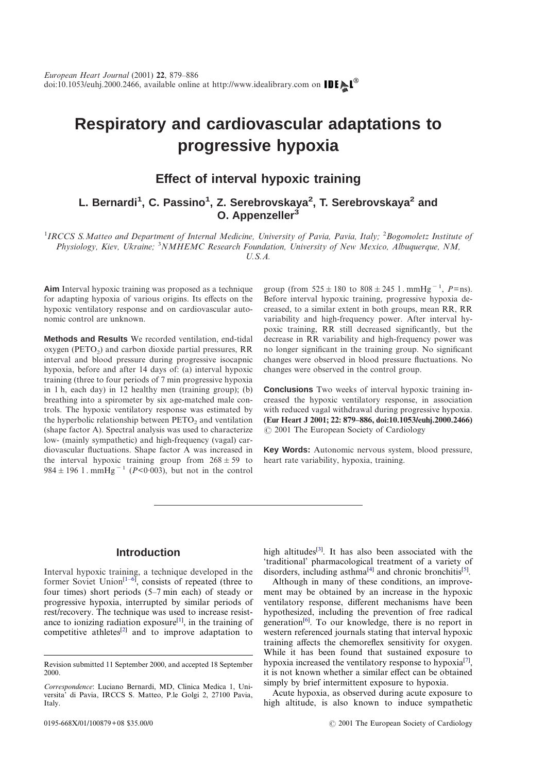# **Respiratory and cardiovascular adaptations to progressive hypoxia**

# **Effect of interval hypoxic training**

L. Bernardi<sup>1</sup>, C. Passino<sup>1</sup>, Z. Serebrovskaya<sup>2</sup>, T. Serebrovskaya<sup>2</sup> and **O.** Appenzeller<sup>3</sup>

<sup>1</sup> IRCCS S. Matteo and Department of Internal Medicine, University of Pavia, Pavia, Italy; <sup>2</sup> Bogomoletz Institute of *Physiology, Kiev, Ukraine;* <sup>3</sup> *NMHEMC Research Foundation, University of New Mexico, Albuquerque, NM, U.S.A.*

**Aim** Interval hypoxic training was proposed as a technique for adapting hypoxia of various origins. Its effects on the hypoxic ventilatory response and on cardiovascular autonomic control are unknown.

**Methods and Results** We recorded ventilation, end-tidal oxygen ( $PETO<sub>2</sub>$ ) and carbon dioxide partial pressures, RR interval and blood pressure during progressive isocapnic hypoxia, before and after 14 days of: (a) interval hypoxic training (three to four periods of 7 min progressive hypoxia in 1 h, each day) in 12 healthy men (training group); (b) breathing into a spirometer by six age-matched male controls. The hypoxic ventilatory response was estimated by the hyperbolic relationship between PETO<sub>2</sub> and ventilation (shape factor A). Spectral analysis was used to characterize low- (mainly sympathetic) and high-frequency (vagal) cardiovascular fluctuations. Shape factor A was increased in the interval hypoxic training group from  $268 \pm 59$  to  $984 \pm 196$  1. mmHg<sup>-1</sup> (*P*<0.003), but not in the control

group (from  $525 \pm 180$  to  $808 \pm 245$  l . mmHg<sup>-1</sup>, *P*=ns). Before interval hypoxic training, progressive hypoxia decreased, to a similar extent in both groups, mean RR, RR variability and high-frequency power. After interval hypoxic training, RR still decreased significantly, but the decrease in RR variability and high-frequency power was no longer significant in the training group. No significant changes were observed in blood pressure fluctuations. No changes were observed in the control group.

**Conclusions** Two weeks of interval hypoxic training increased the hypoxic ventilatory response, in association with reduced vagal withdrawal during progressive hypoxia. **(Eur Heart J 2001; 22: 879–886, doi:10.1053/euhj.2000.2466)** 2001 The European Society of Cardiology

**Key Words:** Autonomic nervous system, blood pressure, heart rate variability, hypoxia, training.

# **Introduction**

Interval hypoxic training, a technique developed in the former Soviet Union<sup>[[1](#page-26-0)-6]</sup>, consists of repeated (three to four times) short periods (5–7 min each) of steady or progressive hypoxia, interrupted by similar periods of rest/recovery. The technique was used to increase resist-ance to ionizing radiation exposure<sup>[\[1\]](#page-26-0)</sup>, in the training of competitive athletes $^{[2]}$  $^{[2]}$  $^{[2]}$  and to improve adaptation to

high altitudes<sup>[\[3\]](#page-26-3)</sup>. It has also been associated with the 'traditional' pharmacological treatment of a variety of disorders, including asthma<sup>[\[4\]](#page-26-4)</sup> and chronic bronchitis<sup>[[5\]](#page-26-5)</sup>.

Although in many of these conditions, an improvement may be obtained by an increase in the hypoxic ventilatory response, different mechanisms have been hypothesized, including the prevention of free radical generation<sup>[\[6\]](#page-26-1)</sup>. To our knowledge, there is no report in western referenced journals stating that interval hypoxic training affects the chemoreflex sensitivity for oxygen. While it has been found that sustained exposure to hypoxia increased the ventilatory response to hypoxia<sup>[\[7\]](#page-26-6)</sup>, it is not known whether a similar effect can be obtained simply by brief intermittent exposure to hypoxia.

Acute hypoxia, as observed during acute exposure to high altitude, is also known to induce sympathetic

Revision submitted 11 September 2000, and accepted 18 September 2000.

*Correspondence*: Luciano Bernardi, MD, Clinica Medica 1, Universita' di Pavia, IRCCS S. Matteo, P.le Golgi 2, 27100 Pavia, Italy.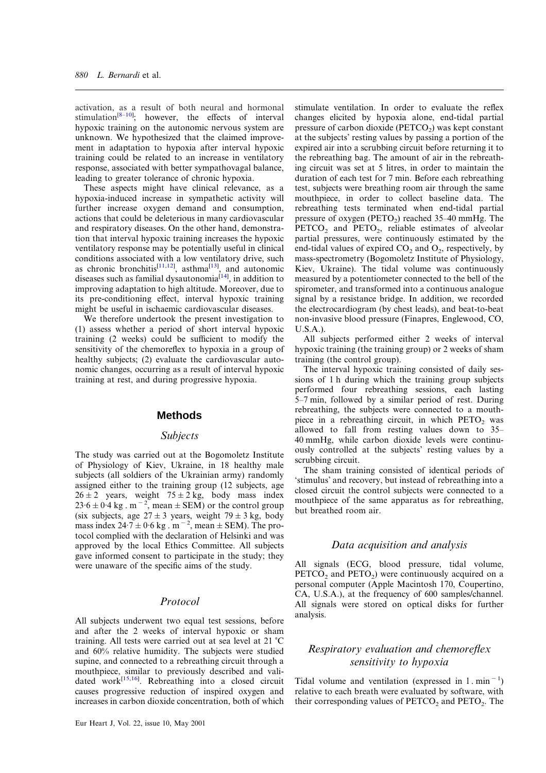activation, as a result of both neural and hormonal stimulation<sup>[\[8](#page-26-7)-10]</sup>; however, the effects of interval hypoxic training on the autonomic nervous system are unknown. We hypothesized that the claimed improvement in adaptation to hypoxia after interval hypoxic training could be related to an increase in ventilatory response, associated with better sympathovagal balance, leading to greater tolerance of chronic hypoxia.

These aspects might have clinical relevance, as a hypoxia-induced increase in sympathetic activity will further increase oxygen demand and consumption, actions that could be deleterious in many cardiovascular and respiratory diseases. On the other hand, demonstration that interval hypoxic training increases the hypoxic ventilatory response may be potentially useful in clinical conditions associated with a low ventilatory drive, such as chronic bronchitis<sup>[\[11](#page-26-9)[,12\]](#page-26-10)</sup>, asthma<sup>[\[13\]](#page-26-11)</sup>, and autonomic diseases such as familial dysautonomia<sup>[\[14\]](#page-26-12)</sup>, in addition to improving adaptation to high altitude. Moreover, due to its pre-conditioning effect, interval hypoxic training might be useful in ischaemic cardiovascular diseases.

We therefore undertook the present investigation to (1) assess whether a period of short interval hypoxic training (2 weeks) could be sufficient to modify the sensitivity of the chemoreflex to hypoxia in a group of healthy subjects; (2) evaluate the cardiovascular autonomic changes, occurring as a result of interval hypoxic training at rest, and during progressive hypoxia.

## **Methods**

## *Subjects*

The study was carried out at the Bogomoletz Institute of Physiology of Kiev, Ukraine, in 18 healthy male subjects (all soldiers of the Ukrainian army) randomly assigned either to the training group (12 subjects, age  $26 \pm 2$  years, weight  $75 \pm 2$  kg, body mass index  $23.6 \pm 0.4$  kg . m<sup>-2</sup>, mean  $\pm$  SEM) or the control group (six subjects, age  $27 \pm 3$  years, weight  $79 \pm 3$  kg, body mass index  $24.7 \pm 0.6$  kg . m<sup>-2</sup>, mean  $\pm$  SEM). The protocol complied with the declaration of Helsinki and was approved by the local Ethics Committee. All subjects gave informed consent to participate in the study; they were unaware of the specific aims of the study.

# *Protocol*

All subjects underwent two equal test sessions, before and after the 2 weeks of interval hypoxic or sham training. All tests were carried out at sea level at 21 C and 60% relative humidity. The subjects were studied supine, and connected to a rebreathing circuit through a mouthpiece, similar to previously described and vali-dated work<sup>[\[15](#page-26-13)[,16\]](#page-26-14)</sup>. Rebreathing into a closed circuit causes progressive reduction of inspired oxygen and increases in carbon dioxide concentration, both of which

stimulate ventilation. In order to evaluate the reflex changes elicited by hypoxia alone, end-tidal partial pressure of carbon dioxide ( $PETCO<sub>2</sub>$ ) was kept constant at the subjects' resting values by passing a portion of the expired air into a scrubbing circuit before returning it to the rebreathing bag. The amount of air in the rebreathing circuit was set at 5 litres, in order to maintain the duration of each test for 7 min. Before each rebreathing test, subjects were breathing room air through the same mouthpiece, in order to collect baseline data. The rebreathing tests terminated when end-tidal partial pressure of oxygen (PETO<sub>2</sub>) reached  $35-40$  mmHg. The  $PETCO<sub>2</sub>$  and  $PETO<sub>2</sub>$ , reliable estimates of alveolar partial pressures, were continuously estimated by the end-tidal values of expired  $CO<sub>2</sub>$  and  $O<sub>2</sub>$ , respectively, by mass-spectrometry (Bogomoletz Institute of Physiology, Kiev, Ukraine). The tidal volume was continuously measured by a potentiometer connected to the bell of the spirometer, and transformed into a continuous analogue signal by a resistance bridge. In addition, we recorded the electrocardiogram (by chest leads), and beat-to-beat non-invasive blood pressure (Finapres, Englewood, CO, U.S.A.).

All subjects performed either 2 weeks of interval hypoxic training (the training group) or 2 weeks of sham training (the control group).

The interval hypoxic training consisted of daily sessions of 1 h during which the training group subjects performed four rebreathing sessions, each lasting 5–7 min, followed by a similar period of rest. During rebreathing, the subjects were connected to a mouthpiece in a rebreathing circuit, in which PETO<sub>2</sub> was allowed to fall from resting values down to 35– 40 mmHg, while carbon dioxide levels were continuously controlled at the subjects' resting values by a scrubbing circuit.

The sham training consisted of identical periods of 'stimulus' and recovery, but instead of rebreathing into a closed circuit the control subjects were connected to a mouthpiece of the same apparatus as for rebreathing, but breathed room air.

#### *Data acquisition and analysis*

All signals (ECG, blood pressure, tidal volume,  $PETCO<sub>2</sub>$  and  $PETO<sub>2</sub>$ ) were continuously acquired on a personal computer (Apple Macintosh 170, Coupertino, CA, U.S.A.), at the frequency of 600 samples/channel. All signals were stored on optical disks for further analysis.

# *Respiratory evaluation and chemoreflex sensitivity to hypoxia*

Tidal volume and ventilation (expressed in  $1 \cdot \text{min}^{-1}$ ) relative to each breath were evaluated by software, with their corresponding values of  $PETCO<sub>2</sub>$  and  $PETO<sub>2</sub>$ . The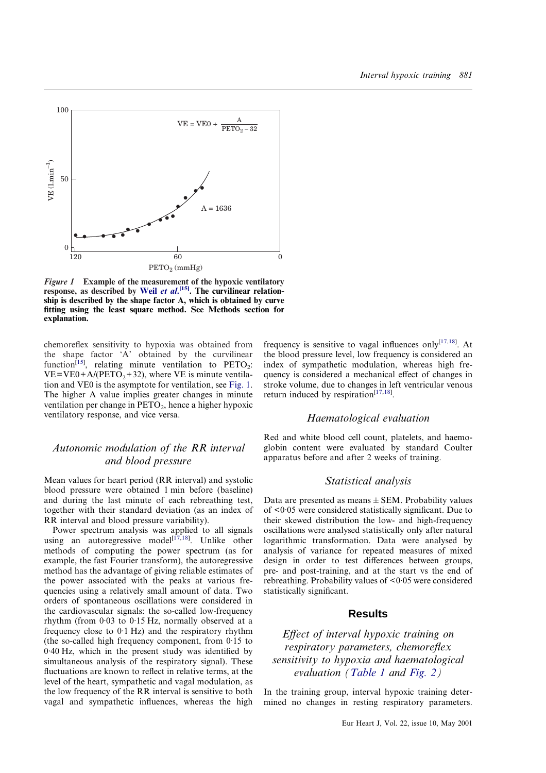<span id="page-21-0"></span>

*Figure 1* **Example of the measurement of the hypoxic ventilatory response, as described by [Weil](#page-26-13)** *[et al](#page-26-13)***[.](#page-26-13) [\[15\].](#page-26-13) The curvilinear relationship is described by the shape factor A, which is obtained by curve fitting using the least square method. See Methods section for explanation.**

chemoreflex sensitivity to hypoxia was obtained from the shape factor 'A' obtained by the curvilinear function<sup>[\[15\]](#page-26-13)</sup>, relating minute ventilation to  $\text{PETO}_2$ : VE=VE0+A/(PETO<sub>2</sub>+32), where VE is minute ventilation and VE0 is the asymptote for ventilation, see [Fig. 1.](#page-21-0) The higher A value implies greater changes in minute ventilation per change in  $PETO<sub>2</sub>$ , hence a higher hypoxic ventilatory response, and vice versa.

# *Autonomic modulation of the RR interval and blood pressure*

Mean values for heart period (RR interval) and systolic blood pressure were obtained 1 min before (baseline) and during the last minute of each rebreathing test, together with their standard deviation (as an index of RR interval and blood pressure variability).

Power spectrum analysis was applied to all signals using an autoregressive model<sup>[\[17](#page-26-15)[,18\]](#page-26-16)</sup>. Unlike other methods of computing the power spectrum (as for example, the fast Fourier transform), the autoregressive method has the advantage of giving reliable estimates of the power associated with the peaks at various frequencies using a relatively small amount of data. Two orders of spontaneous oscillations were considered in the cardiovascular signals: the so-called low-frequency rhythm (from 0·03 to 0·15 Hz, normally observed at a frequency close to 0·1 Hz) and the respiratory rhythm (the so-called high frequency component, from 0·15 to 0·40 Hz, which in the present study was identified by simultaneous analysis of the respiratory signal). These fluctuations are known to reflect in relative terms, at the level of the heart, sympathetic and vagal modulation, as the low frequency of the RR interval is sensitive to both vagal and sympathetic influences, whereas the high

frequency is sensitive to vagal influences only<sup>[\[17,](#page-26-15)[18\]](#page-26-16)</sup>. At the blood pressure level, low frequency is considered an index of sympathetic modulation, whereas high frequency is considered a mechanical effect of changes in stroke volume, due to changes in left ventricular venous return induced by respiration $[17, 18]$  $[17, 18]$ .

# *Haematological evaluation*

Red and white blood cell count, platelets, and haemoglobin content were evaluated by standard Coulter apparatus before and after 2 weeks of training.

## *Statistical analysis*

Data are presented as means  $\pm$  SEM. Probability values of <0·05 were considered statistically significant. Due to their skewed distribution the low- and high-frequency oscillations were analysed statistically only after natural logarithmic transformation. Data were analysed by analysis of variance for repeated measures of mixed design in order to test differences between groups, pre- and post-training, and at the start vs the end of rebreathing. Probability values of <0·05 were considered statistically significant.

# **Results**

# *Effect of interval hypoxic training on respiratory parameters, chemoreflex sensitivity to hypoxia and haematological evaluation [\(Table 1](#page-22-0) and [Fig. 2\)](#page-23-0)*

In the training group, interval hypoxic training determined no changes in resting respiratory parameters.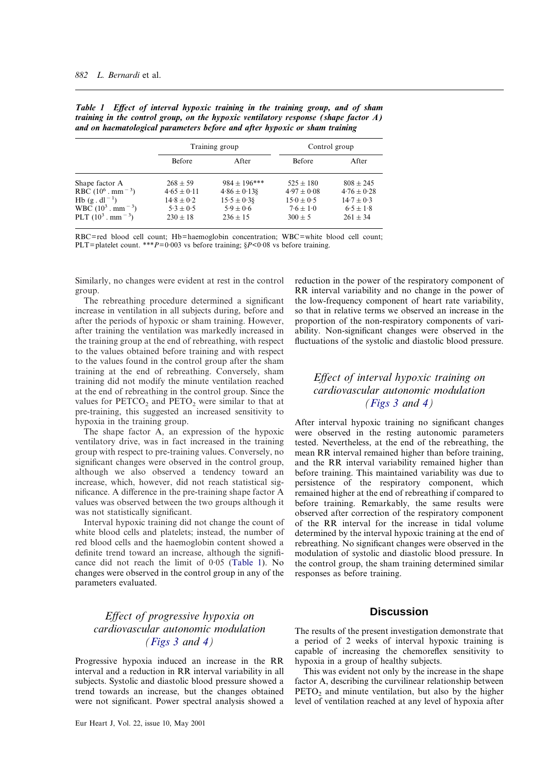|                                |                 | Training group    |                 | Control group   |
|--------------------------------|-----------------|-------------------|-----------------|-----------------|
|                                | Before          | After             | <b>Before</b>   | After           |
| Shape factor A                 | $268 \pm 59$    | $984 \pm 196$ *** | $525 \pm 180$   | $808 \pm 245$   |
| RBC $(10^6 \, \text{mm}^{-3})$ | $4.65 \pm 0.11$ | $4.86 \pm 0.138$  | $4.97 \pm 0.08$ | $4.76 \pm 0.28$ |
| Hb $(g. dl^{-1})$              | $14.8 \pm 0.2$  | $15.5 \pm 0.38$   | $15.0 \pm 0.5$  | $14.7 \pm 0.3$  |
| WBC $(10^3 \, \text{mm}^{-3})$ | $5.3 \pm 0.5$   | $5.9 \pm 0.6$     | $7.6 \pm 1.0$   | $6.5 \pm 1.8$   |
| PLT $(10^3 \, \text{mm}^{-3})$ | $230 \pm 18$    | $236 \pm 15$      | $300 \pm 5$     | $261 \pm 34$    |

<span id="page-22-0"></span>*Table 1 Effect of interval hypoxic training in the training group, and of sham training in the control group, on the hypoxic ventilatory response (shape factor A) and on haematological parameters before and after hypoxic or sham training*

RBC=red blood cell count; Hb=haemoglobin concentration; WBC=white blood cell count; PLT=platelet count. \*\*\**P*=0·003 vs before training; §*P*<0·08 vs before training.

Similarly, no changes were evident at rest in the control group.

The rebreathing procedure determined a significant increase in ventilation in all subjects during, before and after the periods of hypoxic or sham training. However, after training the ventilation was markedly increased in the training group at the end of rebreathing, with respect to the values obtained before training and with respect to the values found in the control group after the sham training at the end of rebreathing. Conversely, sham training did not modify the minute ventilation reached at the end of rebreathing in the control group. Since the values for PETCO<sub>2</sub> and PETO<sub>2</sub> were similar to that at pre-training, this suggested an increased sensitivity to hypoxia in the training group.

The shape factor A, an expression of the hypoxic ventilatory drive, was in fact increased in the training group with respect to pre-training values. Conversely, no significant changes were observed in the control group, although we also observed a tendency toward an increase, which, however, did not reach statistical significance. A difference in the pre-training shape factor A values was observed between the two groups although it was not statistically significant.

Interval hypoxic training did not change the count of white blood cells and platelets; instead, the number of red blood cells and the haemoglobin content showed a definite trend toward an increase, although the significance did not reach the limit of 0·05 [\(Table 1\)](#page-22-0). No changes were observed in the control group in any of the parameters evaluated.

# *Effect of progressive hypoxia on cardiovascular autonomic modulation [\(Figs 3](#page-24-0) and [4\)](#page-25-0)*

Progressive hypoxia induced an increase in the RR interval and a reduction in RR interval variability in all subjects. Systolic and diastolic blood pressure showed a trend towards an increase, but the changes obtained were not significant. Power spectral analysis showed a

reduction in the power of the respiratory component of RR interval variability and no change in the power of the low-frequency component of heart rate variability, so that in relative terms we observed an increase in the proportion of the non-respiratory components of variability. Non-significant changes were observed in the fluctuations of the systolic and diastolic blood pressure.

# *Effect of interval hypoxic training on cardiovascular autonomic modulation [\(Figs 3](#page-24-0) and [4\)](#page-25-0)*

After interval hypoxic training no significant changes were observed in the resting autonomic parameters tested. Nevertheless, at the end of the rebreathing, the mean RR interval remained higher than before training, and the RR interval variability remained higher than before training. This maintained variability was due to persistence of the respiratory component, which remained higher at the end of rebreathing if compared to before training. Remarkably, the same results were observed after correction of the respiratory component of the RR interval for the increase in tidal volume determined by the interval hypoxic training at the end of rebreathing. No significant changes were observed in the modulation of systolic and diastolic blood pressure. In the control group, the sham training determined similar responses as before training.

# **Discussion**

The results of the present investigation demonstrate that a period of 2 weeks of interval hypoxic training is capable of increasing the chemoreflex sensitivity to hypoxia in a group of healthy subjects.

This was evident not only by the increase in the shape factor A, describing the curvilinear relationship between PETO<sub>2</sub> and minute ventilation, but also by the higher level of ventilation reached at any level of hypoxia after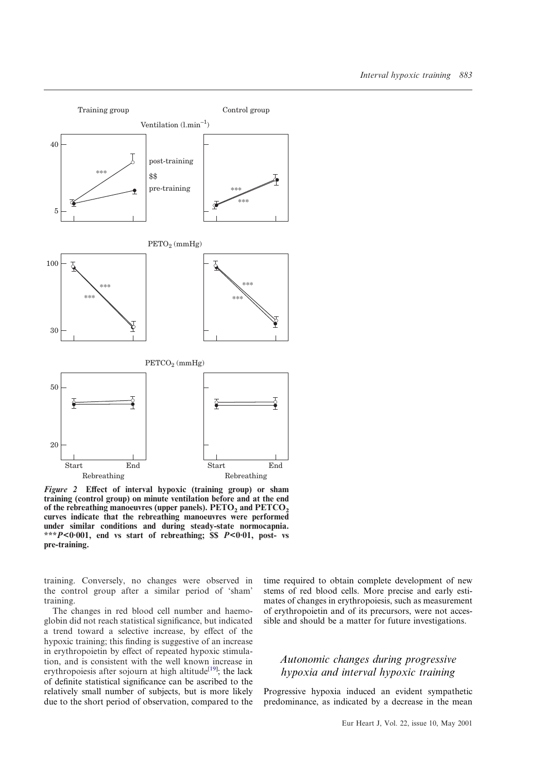<span id="page-23-0"></span>

*Figure 2* **Effect of interval hypoxic (training group) or sham training (control group) on minute ventilation before and at the end** of the rebreathing manoeuvres (upper panels). PETO<sub>2</sub> and PETCO<sub>2</sub> **curves indicate that the rebreathing manoeuvres were performed under similar conditions and during steady-state normocapnia. \*\*\****P***<0·001, end vs start of rebreathing; \$\$** *P***<0·01, post- vs pre-training.**

training. Conversely, no changes were observed in the control group after a similar period of 'sham' training.

The changes in red blood cell number and haemoglobin did not reach statistical significance, but indicated a trend toward a selective increase, by effect of the hypoxic training; this finding is suggestive of an increase in erythropoietin by effect of repeated hypoxic stimulation, and is consistent with the well known increase in erythropoiesis after sojourn at high altitude<sup>[\[19\]](#page-26-17)</sup>; the lack of definite statistical significance can be ascribed to the relatively small number of subjects, but is more likely due to the short period of observation, compared to the time required to obtain complete development of new stems of red blood cells. More precise and early estimates of changes in erythropoiesis, such as measurement of erythropoietin and of its precursors, were not accessible and should be a matter for future investigations.

# *Autonomic changes during progressive hypoxia and interval hypoxic training*

Progressive hypoxia induced an evident sympathetic predominance, as indicated by a decrease in the mean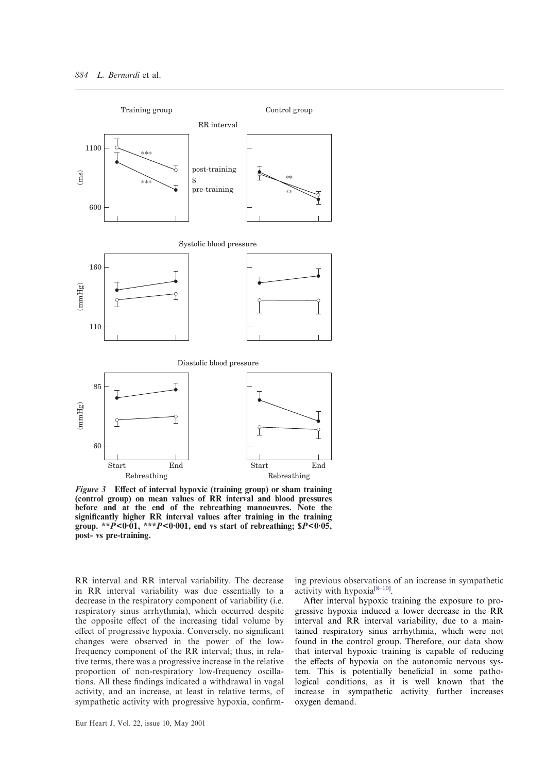<span id="page-24-0"></span>

*Figure 3* **Effect of interval hypoxic (training group) or sham training (control group) on mean values of RR interval and blood pressures before and at the end of the rebreathing manoeuvres. Note the significantly higher RR interval values after training in the training group.** \*\* $\overline{P}$ **<0·01,** \*\*\* $\overline{P}$ **<0·001,** end vs start of rebreathing; \$ $\overline{P}$ **<0·05, post- vs pre-training.**

RR interval and RR interval variability. The decrease in RR interval variability was due essentially to a decrease in the respiratory component of variability (i.e. respiratory sinus arrhythmia), which occurred despite the opposite effect of the increasing tidal volume by effect of progressive hypoxia. Conversely, no significant changes were observed in the power of the lowfrequency component of the RR interval; thus, in relative terms, there was a progressive increase in the relative proportion of non-respiratory low-frequency oscillations. All these findings indicated a withdrawal in vagal activity, and an increase, at least in relative terms, of sympathetic activity with progressive hypoxia, confirming previous observations of an increase in sympathetic activity with hypoxia<sup>[\[8](#page-26-7)-10]</sup>.

After interval hypoxic training the exposure to progressive hypoxia induced a lower decrease in the RR interval and RR interval variability, due to a maintained respiratory sinus arrhythmia, which were not found in the control group. Therefore, our data show that interval hypoxic training is capable of reducing the effects of hypoxia on the autonomic nervous system. This is potentially beneficial in some pathological conditions, as it is well known that the increase in sympathetic activity further increases oxygen demand.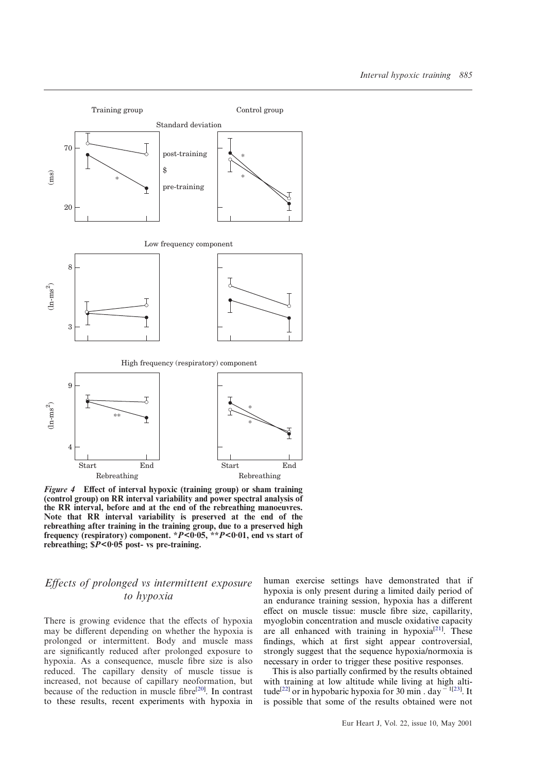<span id="page-25-0"></span>

*Figure 4* **Effect of interval hypoxic (training group) or sham training (control group) on RR interval variability and power spectral analysis of the RR interval, before and at the end of the rebreathing manoeuvres. Note that RR interval variability is preserved at the end of the rebreathing after training in the training group, due to a preserved high frequency (respiratory) component. \****P***<0·05, \*\****P***<0·01, end vs start of rebreathing; \$***P***<0·05 post- vs pre-training.**

# *Effects of prolonged vs intermittent exposure to hypoxia*

There is growing evidence that the effects of hypoxia may be different depending on whether the hypoxia is prolonged or intermittent. Body and muscle mass are significantly reduced after prolonged exposure to hypoxia. As a consequence, muscle fibre size is also reduced. The capillary density of muscle tissue is increased, not because of capillary neoformation, but because of the reduction in muscle fibre<sup>[\[20\]](#page-26-18)</sup>. In contrast to these results, recent experiments with hypoxia in

human exercise settings have demonstrated that if hypoxia is only present during a limited daily period of an endurance training session, hypoxia has a different effect on muscle tissue: muscle fibre size, capillarity, myoglobin concentration and muscle oxidative capacity are all enhanced with training in hypoxia<sup>[\[21\]](#page-26-19)</sup>. These findings, which at first sight appear controversial, strongly suggest that the sequence hypoxia/normoxia is necessary in order to trigger these positive responses.

This is also partially confirmed by the results obtained with training at low altitude while living at high alti-tude<sup>[\[22\]](#page-26-20)</sup> or in hypobaric hypoxia for 30 min . day  $^{-1}$ <sup>[\[23\]](#page-26-21)</sup>. It is possible that some of the results obtained were not